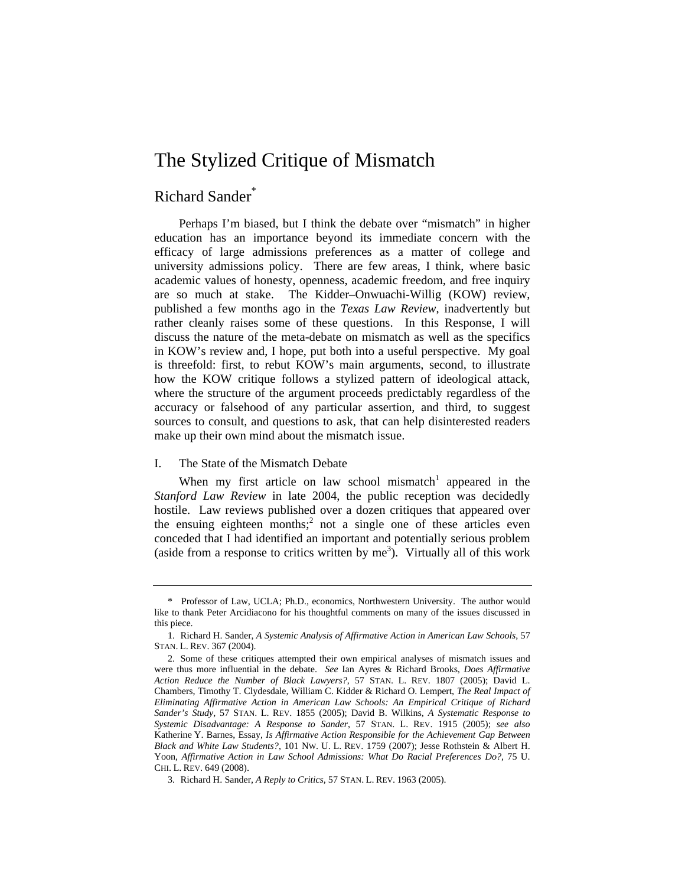# The Stylized Critique of Mismatch

# Richard Sander\*

Perhaps I'm biased, but I think the debate over "mismatch" in higher education has an importance beyond its immediate concern with the efficacy of large admissions preferences as a matter of college and university admissions policy. There are few areas, I think, where basic academic values of honesty, openness, academic freedom, and free inquiry are so much at stake. The Kidder–Onwuachi-Willig (KOW) review, published a few months ago in the *Texas Law Review*, inadvertently but rather cleanly raises some of these questions. In this Response, I will discuss the nature of the meta-debate on mismatch as well as the specifics in KOW's review and, I hope, put both into a useful perspective. My goal is threefold: first, to rebut KOW's main arguments, second, to illustrate how the KOW critique follows a stylized pattern of ideological attack, where the structure of the argument proceeds predictably regardless of the accuracy or falsehood of any particular assertion, and third, to suggest sources to consult, and questions to ask, that can help disinterested readers make up their own mind about the mismatch issue.

#### I. The State of the Mismatch Debate

When my first article on law school mismatch<sup>1</sup> appeared in the *Stanford Law Review* in late 2004, the public reception was decidedly hostile. Law reviews published over a dozen critiques that appeared over the ensuing eighteen months;<sup>2</sup> not a single one of these articles even conceded that I had identified an important and potentially serious problem (aside from a response to critics written by  $me<sup>3</sup>$ ). Virtually all of this work

 <sup>\*</sup> Professor of Law, UCLA; Ph.D., economics, Northwestern University. The author would like to thank Peter Arcidiacono for his thoughtful comments on many of the issues discussed in this piece.

<sup>1.</sup> Richard H. Sander, *A Systemic Analysis of Affirmative Action in American Law Schools*, 57 STAN. L. REV. 367 (2004).

<sup>2.</sup> Some of these critiques attempted their own empirical analyses of mismatch issues and were thus more influential in the debate. *See* Ian Ayres & Richard Brooks, *Does Affirmative Action Reduce the Number of Black Lawyers?*, 57 STAN. L. REV. 1807 (2005); David L. Chambers, Timothy T. Clydesdale, William C. Kidder & Richard O. Lempert, *The Real Impact of Eliminating Affirmative Action in American Law Schools: An Empirical Critique of Richard Sander's Study*, 57 STAN. L. REV. 1855 (2005); David B. Wilkins, *A Systematic Response to Systemic Disadvantage: A Response to Sander*, 57 STAN. L. REV. 1915 (2005); *see also* Katherine Y. Barnes, Essay, *Is Affirmative Action Responsible for the Achievement Gap Between Black and White Law Students?*, 101 NW. U. L. REV. 1759 (2007); Jesse Rothstein & Albert H. Yoon, *Affirmative Action in Law School Admissions: What Do Racial Preferences Do?*, 75 U. CHI. L. REV. 649 (2008).

<sup>3.</sup> Richard H. Sander, *A Reply to Critics*, 57 STAN. L. REV. 1963 (2005).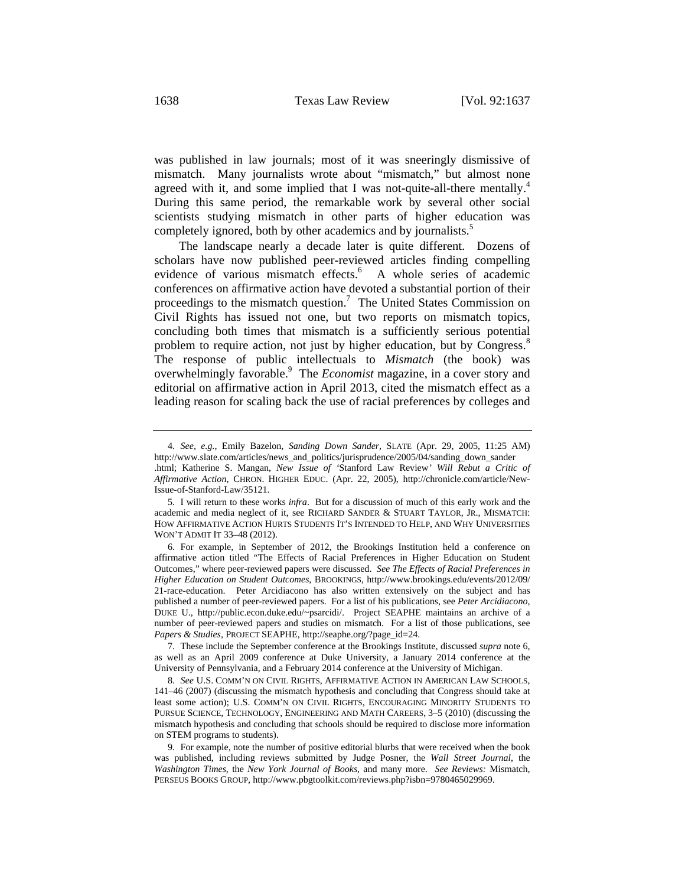was published in law journals; most of it was sneeringly dismissive of mismatch. Many journalists wrote about "mismatch," but almost none agreed with it, and some implied that I was not-quite-all-there mentally. $4$ During this same period, the remarkable work by several other social scientists studying mismatch in other parts of higher education was completely ignored, both by other academics and by journalists.<sup>5</sup>

The landscape nearly a decade later is quite different. Dozens of scholars have now published peer-reviewed articles finding compelling evidence of various mismatch effects.<sup>6</sup> A whole series of academic conferences on affirmative action have devoted a substantial portion of their proceedings to the mismatch question.<sup>7</sup> The United States Commission on Civil Rights has issued not one, but two reports on mismatch topics, concluding both times that mismatch is a sufficiently serious potential problem to require action, not just by higher education, but by Congress.<sup>8</sup> The response of public intellectuals to *Mismatch* (the book) was overwhelmingly favorable.<sup>9</sup> The *Economist* magazine, in a cover story and editorial on affirmative action in April 2013, cited the mismatch effect as a leading reason for scaling back the use of racial preferences by colleges and

6. For example, in September of 2012, the Brookings Institution held a conference on affirmative action titled "The Effects of Racial Preferences in Higher Education on Student Outcomes," where peer-reviewed papers were discussed. *See The Effects of Racial Preferences in Higher Education on Student Outcomes*, BROOKINGS, http://www.brookings.edu/events/2012/09/ 21-race-education. Peter Arcidiacono has also written extensively on the subject and has published a number of peer-reviewed papers. For a list of his publications, see *Peter Arcidiacono*, DUKE U., http://public.econ.duke.edu/~psarcidi/. Project SEAPHE maintains an archive of a number of peer-reviewed papers and studies on mismatch. For a list of those publications, see *Papers & Studies*, PROJECT SEAPHE, http://seaphe.org/?page\_id=24.

7. These include the September conference at the Brookings Institute, discussed *supra* note 6, as well as an April 2009 conference at Duke University, a January 2014 conference at the University of Pennsylvania, and a February 2014 conference at the University of Michigan.

8. *See* U.S. COMM'N ON CIVIL RIGHTS, AFFIRMATIVE ACTION IN AMERICAN LAW SCHOOLS, 141–46 (2007) (discussing the mismatch hypothesis and concluding that Congress should take at least some action); U.S. COMM'N ON CIVIL RIGHTS, ENCOURAGING MINORITY STUDENTS TO PURSUE SCIENCE, TECHNOLOGY, ENGINEERING AND MATH CAREERS, 3–5 (2010) (discussing the mismatch hypothesis and concluding that schools should be required to disclose more information on STEM programs to students).

9. For example, note the number of positive editorial blurbs that were received when the book was published, including reviews submitted by Judge Posner, the *Wall Street Journal*, the *Washington Times*, the *New York Journal of Books*, and many more. *See Reviews:* Mismatch, PERSEUS BOOKS GROUP, http://www.pbgtoolkit.com/reviews.php?isbn=9780465029969.

<sup>4.</sup> *See, e.g.*, Emily Bazelon, *Sanding Down Sander*, SLATE (Apr. 29, 2005, 11:25 AM) http://www.slate.com/articles/news\_and\_politics/jurisprudence/2005/04/sanding\_down\_sander .html; Katherine S. Mangan, *New Issue of '*Stanford Law Review*' Will Rebut a Critic of Affirmative Action*, CHRON. HIGHER EDUC. (Apr. 22, 2005), http://chronicle.com/article/New-Issue-of-Stanford-Law/35121.

<sup>5.</sup> I will return to these works *infra*. But for a discussion of much of this early work and the academic and media neglect of it, see RICHARD SANDER & STUART TAYLOR, JR., MISMATCH: HOW AFFIRMATIVE ACTION HURTS STUDENTS IT'S INTENDED TO HELP, AND WHY UNIVERSITIES WON'T ADMIT IT 33–48 (2012).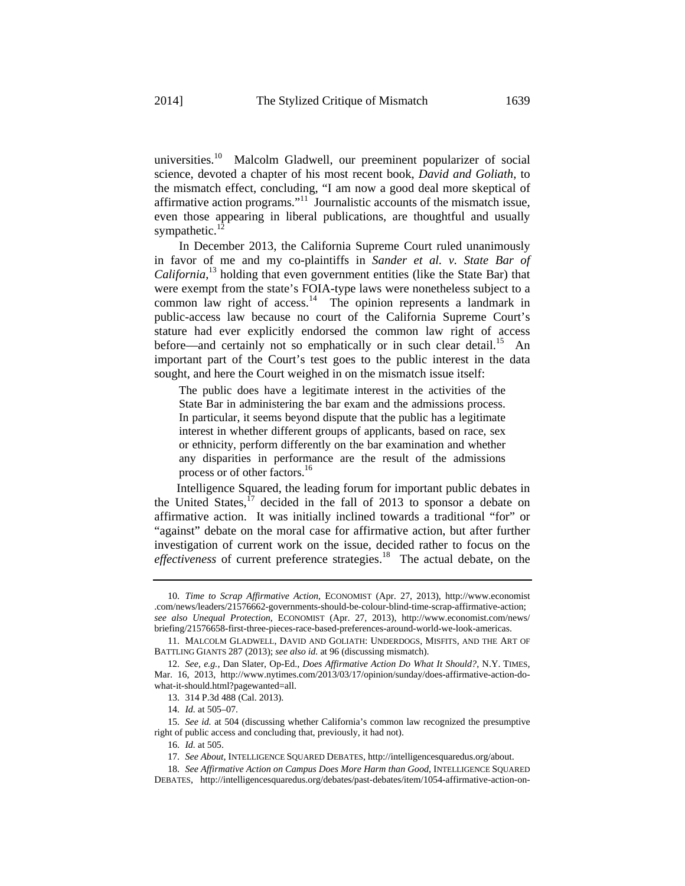universities.<sup>10</sup> Malcolm Gladwell, our preeminent popularizer of social science, devoted a chapter of his most recent book, *David and Goliath*, to the mismatch effect, concluding, "I am now a good deal more skeptical of affirmative action programs."11 Journalistic accounts of the mismatch issue, even those appearing in liberal publications, are thoughtful and usually sympathetic.<sup>1</sup>

In December 2013, the California Supreme Court ruled unanimously in favor of me and my co-plaintiffs in *Sander et al. v. State Bar of California*, 13 holding that even government entities (like the State Bar) that were exempt from the state's FOIA-type laws were nonetheless subject to a common law right of access.<sup>14</sup> The opinion represents a landmark in public-access law because no court of the California Supreme Court's stature had ever explicitly endorsed the common law right of access before—and certainly not so emphatically or in such clear detail.<sup>15</sup> An important part of the Court's test goes to the public interest in the data sought, and here the Court weighed in on the mismatch issue itself:

The public does have a legitimate interest in the activities of the State Bar in administering the bar exam and the admissions process. In particular, it seems beyond dispute that the public has a legitimate interest in whether different groups of applicants, based on race, sex or ethnicity, perform differently on the bar examination and whether any disparities in performance are the result of the admissions process or of other factors.<sup>16</sup>

 Intelligence Squared, the leading forum for important public debates in the United States, $^{17}$  decided in the fall of 2013 to sponsor a debate on affirmative action. It was initially inclined towards a traditional "for" or "against" debate on the moral case for affirmative action, but after further investigation of current work on the issue, decided rather to focus on the *effectiveness* of current preference strategies.<sup>18</sup> The actual debate, on the

<sup>10.</sup> *Time to Scrap Affirmative Action*, ECONOMIST (Apr. 27, 2013), http://www.economist .com/news/leaders/21576662-governments-should-be-colour-blind-time-scrap-affirmative-action; *see also Unequal Protection*, ECONOMIST (Apr. 27, 2013), http://www.economist.com/news/ briefing/21576658-first-three-pieces-race-based-preferences-around-world-we-look-americas.

<sup>11.</sup> MALCOLM GLADWELL, DAVID AND GOLIATH: UNDERDOGS, MISFITS, AND THE ART OF BATTLING GIANTS 287 (2013); *see also id.* at 96 (discussing mismatch).

<sup>12.</sup> *See, e.g.*, Dan Slater, Op-Ed., *Does Affirmative Action Do What It Should?*, N.Y. TIMES, Mar. 16, 2013, http://www.nytimes.com/2013/03/17/opinion/sunday/does-affirmative-action-dowhat-it-should.html?pagewanted=all.

<sup>13. 314</sup> P.3d 488 (Cal. 2013).

<sup>14.</sup> *Id.* at 505–07.

<sup>15.</sup> *See id.* at 504 (discussing whether California's common law recognized the presumptive right of public access and concluding that, previously, it had not).

<sup>16.</sup> *Id.* at 505.

<sup>17.</sup> *See About*, INTELLIGENCE SQUARED DEBATES, http://intelligencesquaredus.org/about.

<sup>18.</sup> *See Affirmative Action on Campus Does More Harm than Good*, INTELLIGENCE SQUARED DEBATES, http://intelligencesquaredus.org/debates/past-debates/item/1054-affirmative-action-on-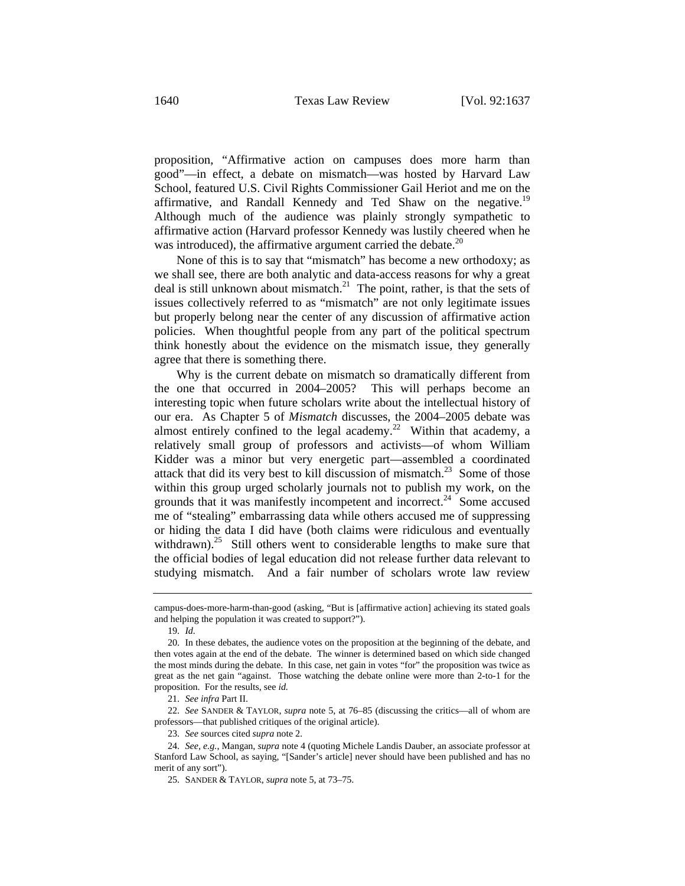proposition, "Affirmative action on campuses does more harm than good"—in effect, a debate on mismatch—was hosted by Harvard Law School, featured U.S. Civil Rights Commissioner Gail Heriot and me on the affirmative, and Randall Kennedy and Ted Shaw on the negative.<sup>19</sup> Although much of the audience was plainly strongly sympathetic to affirmative action (Harvard professor Kennedy was lustily cheered when he was introduced), the affirmative argument carried the debate. $20$ 

 None of this is to say that "mismatch" has become a new orthodoxy; as we shall see, there are both analytic and data-access reasons for why a great deal is still unknown about mismatch.<sup>21</sup> The point, rather, is that the sets of issues collectively referred to as "mismatch" are not only legitimate issues but properly belong near the center of any discussion of affirmative action policies. When thoughtful people from any part of the political spectrum think honestly about the evidence on the mismatch issue, they generally agree that there is something there.

 Why is the current debate on mismatch so dramatically different from the one that occurred in 2004–2005? This will perhaps become an interesting topic when future scholars write about the intellectual history of our era. As Chapter 5 of *Mismatch* discusses, the 2004–2005 debate was almost entirely confined to the legal academy.<sup>22</sup> Within that academy, a relatively small group of professors and activists—of whom William Kidder was a minor but very energetic part—assembled a coordinated attack that did its very best to kill discussion of mismatch.<sup>23</sup> Some of those within this group urged scholarly journals not to publish my work, on the grounds that it was manifestly incompetent and incorrect.<sup>24</sup> Some accused me of "stealing" embarrassing data while others accused me of suppressing or hiding the data I did have (both claims were ridiculous and eventually withdrawn).<sup>25</sup> Still others went to considerable lengths to make sure that the official bodies of legal education did not release further data relevant to studying mismatch. And a fair number of scholars wrote law review

22. *See* SANDER & TAYLOR, *supra* note 5, at 76–85 (discussing the critics—all of whom are professors—that published critiques of the original article).

23. *See* sources cited *supra* note 2.

campus-does-more-harm-than-good (asking, "But is [affirmative action] achieving its stated goals and helping the population it was created to support?").

<sup>19.</sup> *Id.*

<sup>20.</sup> In these debates, the audience votes on the proposition at the beginning of the debate, and then votes again at the end of the debate. The winner is determined based on which side changed the most minds during the debate. In this case, net gain in votes "for" the proposition was twice as great as the net gain "against. Those watching the debate online were more than 2-to-1 for the proposition. For the results, see *id.*

<sup>21.</sup> *See infra* Part II.

<sup>24.</sup> *See, e.g.*, Mangan, *supra* note 4 (quoting Michele Landis Dauber, an associate professor at Stanford Law School, as saying, "[Sander's article] never should have been published and has no merit of any sort").

<sup>25.</sup> SANDER & TAYLOR, *supra* note 5, at 73–75.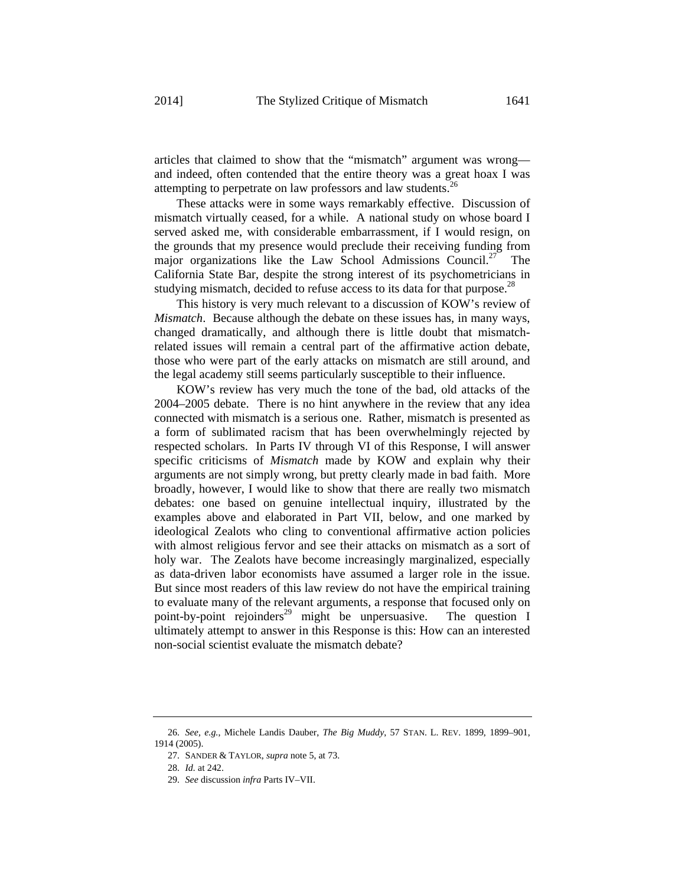articles that claimed to show that the "mismatch" argument was wrong and indeed, often contended that the entire theory was a great hoax I was attempting to perpetrate on law professors and law students.<sup>26</sup>

 These attacks were in some ways remarkably effective. Discussion of mismatch virtually ceased, for a while. A national study on whose board I served asked me, with considerable embarrassment, if I would resign, on the grounds that my presence would preclude their receiving funding from major organizations like the Law School Admissions Council.<sup>27</sup> The California State Bar, despite the strong interest of its psychometricians in studying mismatch, decided to refuse access to its data for that purpose.<sup>28</sup>

 This history is very much relevant to a discussion of KOW's review of *Mismatch*. Because although the debate on these issues has, in many ways, changed dramatically, and although there is little doubt that mismatchrelated issues will remain a central part of the affirmative action debate, those who were part of the early attacks on mismatch are still around, and the legal academy still seems particularly susceptible to their influence.

 KOW's review has very much the tone of the bad, old attacks of the 2004–2005 debate. There is no hint anywhere in the review that any idea connected with mismatch is a serious one. Rather, mismatch is presented as a form of sublimated racism that has been overwhelmingly rejected by respected scholars. In Parts IV through VI of this Response, I will answer specific criticisms of *Mismatch* made by KOW and explain why their arguments are not simply wrong, but pretty clearly made in bad faith. More broadly, however, I would like to show that there are really two mismatch debates: one based on genuine intellectual inquiry, illustrated by the examples above and elaborated in Part VII, below, and one marked by ideological Zealots who cling to conventional affirmative action policies with almost religious fervor and see their attacks on mismatch as a sort of holy war. The Zealots have become increasingly marginalized, especially as data-driven labor economists have assumed a larger role in the issue. But since most readers of this law review do not have the empirical training to evaluate many of the relevant arguments, a response that focused only on point-by-point rejoinders<sup>29</sup> might be unpersuasive. The question I ultimately attempt to answer in this Response is this: How can an interested non-social scientist evaluate the mismatch debate?

<sup>26.</sup> *See, e.g.*, Michele Landis Dauber, *The Big Muddy*, 57 STAN. L. REV. 1899, 1899–901, 1914 (2005).

<sup>27.</sup> SANDER & TAYLOR, *supra* note 5, at 73.

<sup>28.</sup> *Id.* at 242.

<sup>29.</sup> *See* discussion *infra* Parts IV–VII.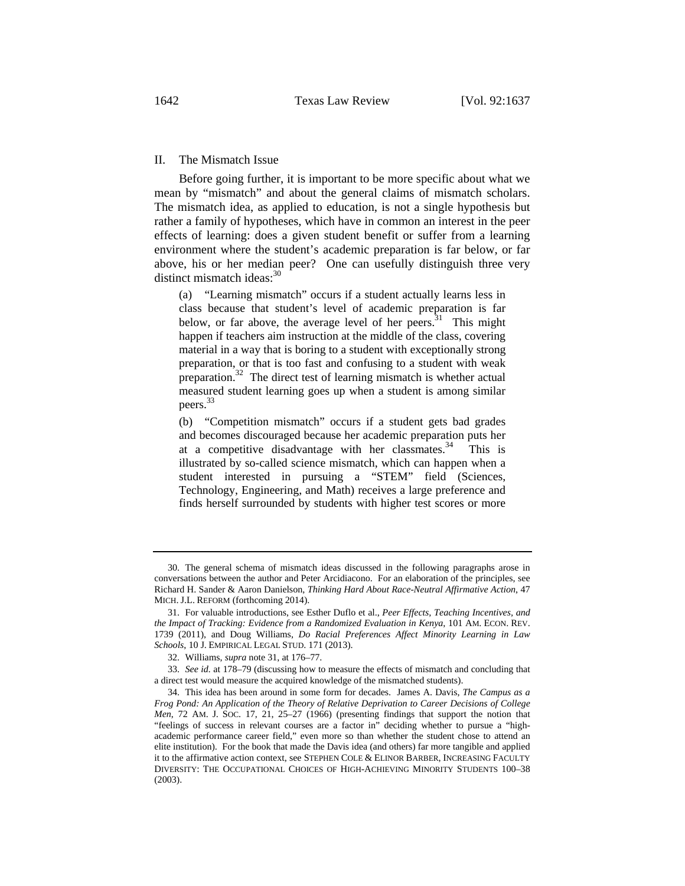### II. The Mismatch Issue

Before going further, it is important to be more specific about what we mean by "mismatch" and about the general claims of mismatch scholars. The mismatch idea, as applied to education, is not a single hypothesis but rather a family of hypotheses, which have in common an interest in the peer effects of learning: does a given student benefit or suffer from a learning environment where the student's academic preparation is far below, or far above, his or her median peer? One can usefully distinguish three very distinct mismatch ideas:<sup>30</sup>

(a) "Learning mismatch" occurs if a student actually learns less in class because that student's level of academic preparation is far below, or far above, the average level of her peers.<sup>31</sup> This might happen if teachers aim instruction at the middle of the class, covering material in a way that is boring to a student with exceptionally strong preparation, or that is too fast and confusing to a student with weak preparation.32 The direct test of learning mismatch is whether actual measured student learning goes up when a student is among similar peers. 33

(b) "Competition mismatch" occurs if a student gets bad grades and becomes discouraged because her academic preparation puts her at a competitive disadvantage with her classmates.34 This is illustrated by so-called science mismatch, which can happen when a student interested in pursuing a "STEM" field (Sciences, Technology, Engineering, and Math) receives a large preference and finds herself surrounded by students with higher test scores or more

<sup>30.</sup> The general schema of mismatch ideas discussed in the following paragraphs arose in conversations between the author and Peter Arcidiacono. For an elaboration of the principles, see Richard H. Sander & Aaron Danielson, *Thinking Hard About Race-Neutral Affirmative Action*, 47 MICH. J.L. REFORM (forthcoming 2014).

<sup>31.</sup> For valuable introductions, see Esther Duflo et al., *Peer Effects, Teaching Incentives, and the Impact of Tracking: Evidence from a Randomized Evaluation in Kenya*, 101 AM. ECON. REV. 1739 (2011), and Doug Williams, *Do Racial Preferences Affect Minority Learning in Law Schools*, 10 J. EMPIRICAL LEGAL STUD. 171 (2013).

<sup>32.</sup> Williams, *supra* note 31, at 176–77.

<sup>33.</sup> *See id.* at 178–79 (discussing how to measure the effects of mismatch and concluding that a direct test would measure the acquired knowledge of the mismatched students).

<sup>34.</sup> This idea has been around in some form for decades. James A. Davis, *The Campus as a Frog Pond: An Application of the Theory of Relative Deprivation to Career Decisions of College Men*, 72 AM. J. SOC. 17, 21, 25–27 (1966) (presenting findings that support the notion that "feelings of success in relevant courses are a factor in" deciding whether to pursue a "highacademic performance career field," even more so than whether the student chose to attend an elite institution). For the book that made the Davis idea (and others) far more tangible and applied it to the affirmative action context, see STEPHEN COLE & ELINOR BARBER, INCREASING FACULTY DIVERSITY: THE OCCUPATIONAL CHOICES OF HIGH-ACHIEVING MINORITY STUDENTS 100–38 (2003).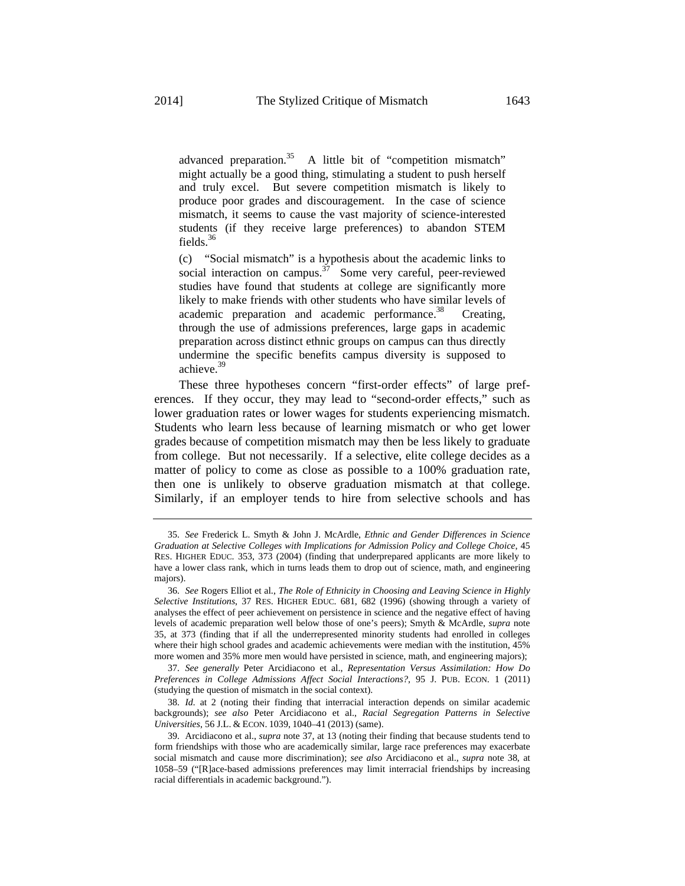advanced preparation.<sup>35</sup> A little bit of "competition mismatch" might actually be a good thing, stimulating a student to push herself and truly excel. But severe competition mismatch is likely to produce poor grades and discouragement. In the case of science mismatch, it seems to cause the vast majority of science-interested students (if they receive large preferences) to abandon STEM fields.36

(c) "Social mismatch" is a hypothesis about the academic links to social interaction on campus.<sup>37</sup> Some very careful, peer-reviewed studies have found that students at college are significantly more likely to make friends with other students who have similar levels of academic preparation and academic performance.<sup>38</sup> Creating, through the use of admissions preferences, large gaps in academic preparation across distinct ethnic groups on campus can thus directly undermine the specific benefits campus diversity is supposed to achieve.39

These three hypotheses concern "first-order effects" of large preferences. If they occur, they may lead to "second-order effects," such as lower graduation rates or lower wages for students experiencing mismatch. Students who learn less because of learning mismatch or who get lower grades because of competition mismatch may then be less likely to graduate from college. But not necessarily. If a selective, elite college decides as a matter of policy to come as close as possible to a 100% graduation rate, then one is unlikely to observe graduation mismatch at that college. Similarly, if an employer tends to hire from selective schools and has

37. *See generally* Peter Arcidiacono et al., *Representation Versus Assimilation: How Do Preferences in College Admissions Affect Social Interactions?*, 95 J. PUB. ECON. 1 (2011) (studying the question of mismatch in the social context).

38. *Id.* at 2 (noting their finding that interracial interaction depends on similar academic backgrounds); *see also* Peter Arcidiacono et al., *Racial Segregation Patterns in Selective Universities*, 56 J.L. & ECON. 1039, 1040–41 (2013) (same).

<sup>35.</sup> *See* Frederick L. Smyth & John J. McArdle, *Ethnic and Gender Differences in Science Graduation at Selective Colleges with Implications for Admission Policy and College Choice*, 45 RES. HIGHER EDUC. 353, 373 (2004) (finding that underprepared applicants are more likely to have a lower class rank, which in turns leads them to drop out of science, math, and engineering majors).

<sup>36.</sup> *See* Rogers Elliot et al., *The Role of Ethnicity in Choosing and Leaving Science in Highly Selective Institutions*, 37 RES. HIGHER EDUC. 681, 682 (1996) (showing through a variety of analyses the effect of peer achievement on persistence in science and the negative effect of having levels of academic preparation well below those of one's peers); Smyth & McArdle, *supra* note 35, at 373 (finding that if all the underrepresented minority students had enrolled in colleges where their high school grades and academic achievements were median with the institution, 45% more women and 35% more men would have persisted in science, math, and engineering majors);

<sup>39.</sup> Arcidiacono et al., *supra* note 37, at 13 (noting their finding that because students tend to form friendships with those who are academically similar, large race preferences may exacerbate social mismatch and cause more discrimination); *see also* Arcidiacono et al., *supra* note 38, at 1058–59 ("[R]ace-based admissions preferences may limit interracial friendships by increasing racial differentials in academic background.").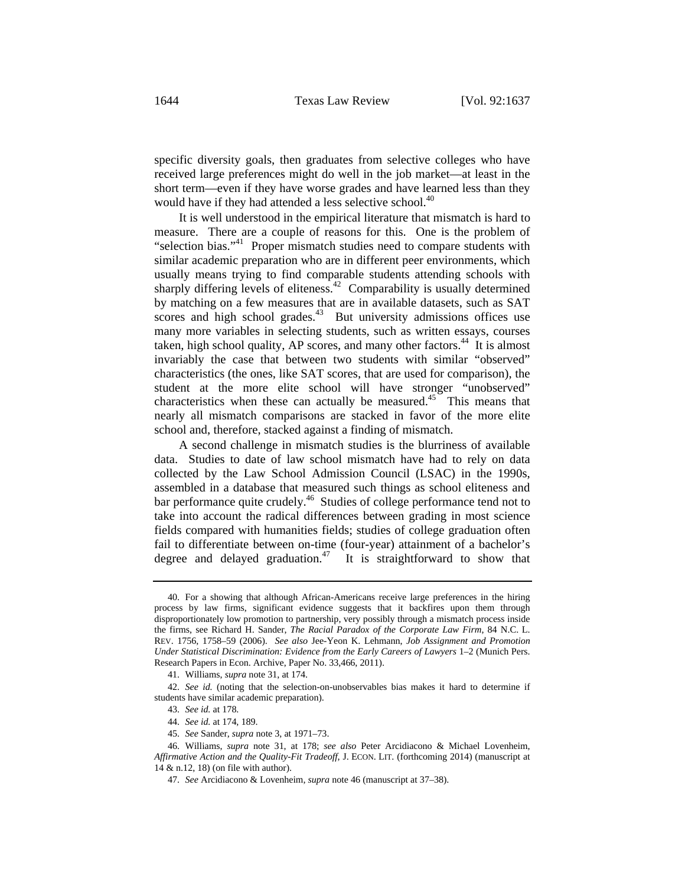specific diversity goals, then graduates from selective colleges who have received large preferences might do well in the job market—at least in the short term—even if they have worse grades and have learned less than they would have if they had attended a less selective school.<sup>40</sup>

It is well understood in the empirical literature that mismatch is hard to measure. There are a couple of reasons for this. One is the problem of "selection bias."<sup>41</sup> Proper mismatch studies need to compare students with similar academic preparation who are in different peer environments, which usually means trying to find comparable students attending schools with sharply differing levels of eliteness.<sup>42</sup> Comparability is usually determined by matching on a few measures that are in available datasets, such as SAT scores and high school grades. $43$  But university admissions offices use many more variables in selecting students, such as written essays, courses taken, high school quality, AP scores, and many other factors.<sup>44</sup> It is almost invariably the case that between two students with similar "observed" characteristics (the ones, like SAT scores, that are used for comparison), the student at the more elite school will have stronger "unobserved" characteristics when these can actually be measured. $45$  This means that nearly all mismatch comparisons are stacked in favor of the more elite school and, therefore, stacked against a finding of mismatch.

A second challenge in mismatch studies is the blurriness of available data. Studies to date of law school mismatch have had to rely on data collected by the Law School Admission Council (LSAC) in the 1990s, assembled in a database that measured such things as school eliteness and bar performance quite crudely.<sup>46</sup> Studies of college performance tend not to take into account the radical differences between grading in most science fields compared with humanities fields; studies of college graduation often fail to differentiate between on-time (four-year) attainment of a bachelor's degree and delayed graduation.<sup>47</sup> It is straightforward to show that

<sup>40.</sup> For a showing that although African-Americans receive large preferences in the hiring process by law firms, significant evidence suggests that it backfires upon them through disproportionately low promotion to partnership, very possibly through a mismatch process inside the firms, see Richard H. Sander, *The Racial Paradox of the Corporate Law Firm*, 84 N.C. L. REV. 1756, 1758–59 (2006). *See also* Jee-Yeon K. Lehmann, *Job Assignment and Promotion Under Statistical Discrimination: Evidence from the Early Careers of Lawyers* 1–2 (Munich Pers. Research Papers in Econ. Archive, Paper No. 33,466, 2011).

<sup>41.</sup> Williams, *supra* note 31, at 174.

<sup>42.</sup> *See id.* (noting that the selection-on-unobservables bias makes it hard to determine if students have similar academic preparation).

<sup>43.</sup> *See id.* at 178.

<sup>44.</sup> *See id.* at 174, 189.

<sup>45.</sup> *See* Sander, *supra* note 3, at 1971–73.

<sup>46.</sup> Williams, *supra* note 31, at 178; *see also* Peter Arcidiacono & Michael Lovenheim, *Affirmative Action and the Quality-Fit Tradeoff*, J. ECON. LIT. (forthcoming 2014) (manuscript at 14 & n.12, 18) (on file with author).

<sup>47.</sup> *See* Arcidiacono & Lovenheim, *supra* note 46 (manuscript at 37–38).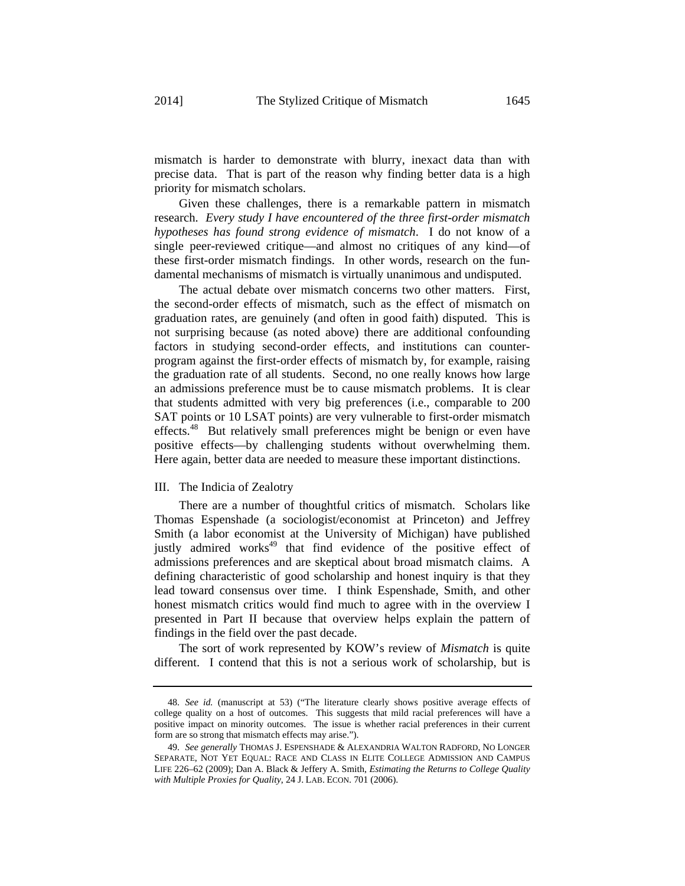mismatch is harder to demonstrate with blurry, inexact data than with precise data. That is part of the reason why finding better data is a high priority for mismatch scholars.

Given these challenges, there is a remarkable pattern in mismatch research. *Every study I have encountered of the three first-order mismatch hypotheses has found strong evidence of mismatch*. I do not know of a single peer-reviewed critique—and almost no critiques of any kind—of these first-order mismatch findings. In other words, research on the fundamental mechanisms of mismatch is virtually unanimous and undisputed.

The actual debate over mismatch concerns two other matters. First, the second-order effects of mismatch, such as the effect of mismatch on graduation rates, are genuinely (and often in good faith) disputed. This is not surprising because (as noted above) there are additional confounding factors in studying second-order effects, and institutions can counterprogram against the first-order effects of mismatch by, for example, raising the graduation rate of all students. Second, no one really knows how large an admissions preference must be to cause mismatch problems. It is clear that students admitted with very big preferences (i.e., comparable to 200 SAT points or 10 LSAT points) are very vulnerable to first-order mismatch effects.<sup>48</sup> But relatively small preferences might be benign or even have positive effects—by challenging students without overwhelming them. Here again, better data are needed to measure these important distinctions.

## III. The Indicia of Zealotry

There are a number of thoughtful critics of mismatch. Scholars like Thomas Espenshade (a sociologist/economist at Princeton) and Jeffrey Smith (a labor economist at the University of Michigan) have published justly admired works<sup>49</sup> that find evidence of the positive effect of admissions preferences and are skeptical about broad mismatch claims. A defining characteristic of good scholarship and honest inquiry is that they lead toward consensus over time. I think Espenshade, Smith, and other honest mismatch critics would find much to agree with in the overview I presented in Part II because that overview helps explain the pattern of findings in the field over the past decade.

The sort of work represented by KOW's review of *Mismatch* is quite different. I contend that this is not a serious work of scholarship, but is

<sup>48.</sup> *See id.* (manuscript at 53) ("The literature clearly shows positive average effects of college quality on a host of outcomes. This suggests that mild racial preferences will have a positive impact on minority outcomes. The issue is whether racial preferences in their current form are so strong that mismatch effects may arise.").

<sup>49.</sup> *See generally* THOMAS J. ESPENSHADE & ALEXANDRIA WALTON RADFORD, NO LONGER SEPARATE, NOT YET EQUAL: RACE AND CLASS IN ELITE COLLEGE ADMISSION AND CAMPUS LIFE 226–62 (2009); Dan A. Black & Jeffery A. Smith, *Estimating the Returns to College Quality with Multiple Proxies for Quality*, 24 J. LAB. ECON. 701 (2006).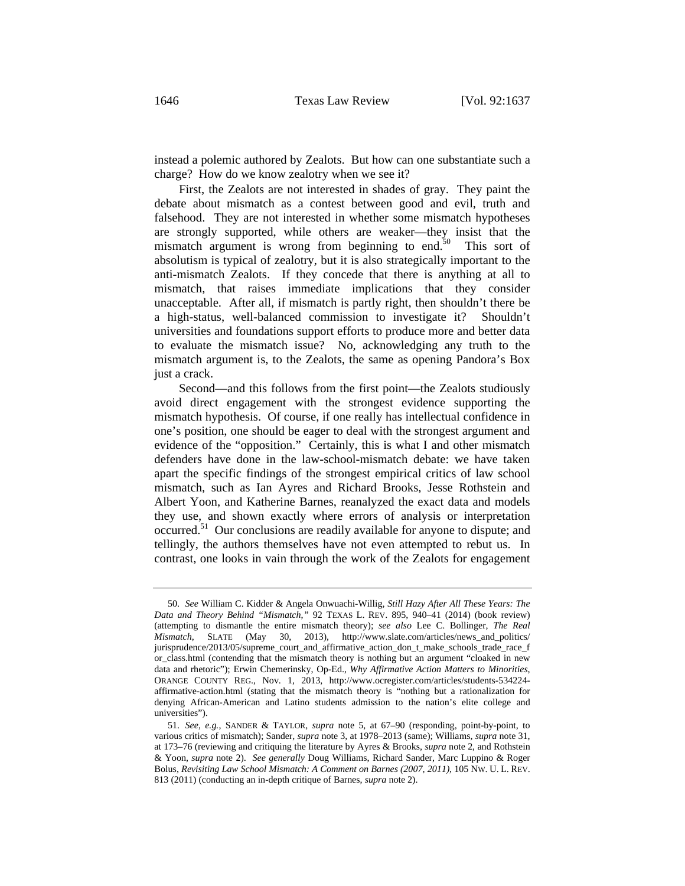instead a polemic authored by Zealots. But how can one substantiate such a charge? How do we know zealotry when we see it?

First, the Zealots are not interested in shades of gray. They paint the debate about mismatch as a contest between good and evil, truth and falsehood. They are not interested in whether some mismatch hypotheses are strongly supported, while others are weaker—they insist that the mismatch argument is wrong from beginning to end. $50$  This sort of absolutism is typical of zealotry, but it is also strategically important to the anti-mismatch Zealots. If they concede that there is anything at all to mismatch, that raises immediate implications that they consider unacceptable. After all, if mismatch is partly right, then shouldn't there be a high-status, well-balanced commission to investigate it? Shouldn't universities and foundations support efforts to produce more and better data to evaluate the mismatch issue? No, acknowledging any truth to the mismatch argument is, to the Zealots, the same as opening Pandora's Box just a crack.

Second—and this follows from the first point—the Zealots studiously avoid direct engagement with the strongest evidence supporting the mismatch hypothesis. Of course, if one really has intellectual confidence in one's position, one should be eager to deal with the strongest argument and evidence of the "opposition." Certainly, this is what I and other mismatch defenders have done in the law-school-mismatch debate: we have taken apart the specific findings of the strongest empirical critics of law school mismatch, such as Ian Ayres and Richard Brooks, Jesse Rothstein and Albert Yoon, and Katherine Barnes, reanalyzed the exact data and models they use, and shown exactly where errors of analysis or interpretation occurred.51 Our conclusions are readily available for anyone to dispute; and tellingly, the authors themselves have not even attempted to rebut us. In contrast, one looks in vain through the work of the Zealots for engagement

<sup>50.</sup> *See* William C. Kidder & Angela Onwuachi-Willig, *Still Hazy After All These Years: The Data and Theory Behind "Mismatch*,*"* 92 TEXAS L. REV. 895, 940–41 (2014) (book review) (attempting to dismantle the entire mismatch theory); *see also* Lee C. Bollinger, *The Real Mismatch*, SLATE (May 30, 2013), http://www.slate.com/articles/news and politics/ jurisprudence/2013/05/supreme\_court\_and\_affirmative\_action\_don\_t\_make\_schools\_trade\_race\_f or\_class.html (contending that the mismatch theory is nothing but an argument "cloaked in new data and rhetoric"); Erwin Chemerinsky, Op-Ed., *Why Affirmative Action Matters to Minorities*, ORANGE COUNTY REG., Nov. 1, 2013, http://www.ocregister.com/articles/students-534224 affirmative-action.html (stating that the mismatch theory is "nothing but a rationalization for denying African-American and Latino students admission to the nation's elite college and universities").

<sup>51.</sup> *See, e.g.*, SANDER & TAYLOR, *supra* note 5, at 67–90 (responding, point-by-point, to various critics of mismatch); Sander, *supra* note 3, at 1978–2013 (same); Williams, *supra* note 31, at 173–76 (reviewing and critiquing the literature by Ayres & Brooks, *supra* note 2, and Rothstein & Yoon, *supra* note 2). *See generally* Doug Williams, Richard Sander, Marc Luppino & Roger Bolus, *Revisiting Law School Mismatch: A Comment on Barnes (2007, 2011)*, 105 NW. U. L. REV. 813 (2011) (conducting an in-depth critique of Barnes, *supra* note 2).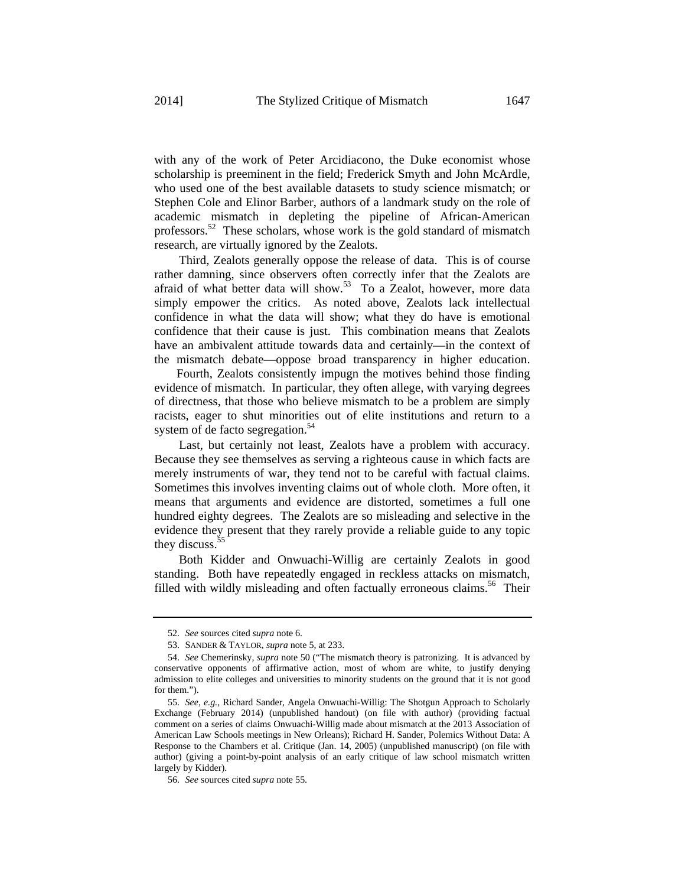with any of the work of Peter Arcidiacono, the Duke economist whose scholarship is preeminent in the field; Frederick Smyth and John McArdle, who used one of the best available datasets to study science mismatch; or Stephen Cole and Elinor Barber, authors of a landmark study on the role of academic mismatch in depleting the pipeline of African-American professors.52 These scholars, whose work is the gold standard of mismatch research, are virtually ignored by the Zealots.

Third, Zealots generally oppose the release of data. This is of course rather damning, since observers often correctly infer that the Zealots are afraid of what better data will show.<sup>53</sup> To a Zealot, however, more data simply empower the critics. As noted above, Zealots lack intellectual confidence in what the data will show; what they do have is emotional confidence that their cause is just. This combination means that Zealots have an ambivalent attitude towards data and certainly—in the context of the mismatch debate—oppose broad transparency in higher education.

 Fourth, Zealots consistently impugn the motives behind those finding evidence of mismatch. In particular, they often allege, with varying degrees of directness, that those who believe mismatch to be a problem are simply racists, eager to shut minorities out of elite institutions and return to a system of de facto segregation.<sup>54</sup>

Last, but certainly not least, Zealots have a problem with accuracy. Because they see themselves as serving a righteous cause in which facts are merely instruments of war, they tend not to be careful with factual claims. Sometimes this involves inventing claims out of whole cloth. More often, it means that arguments and evidence are distorted, sometimes a full one hundred eighty degrees. The Zealots are so misleading and selective in the evidence they present that they rarely provide a reliable guide to any topic they discuss.<sup>55</sup>

Both Kidder and Onwuachi-Willig are certainly Zealots in good standing. Both have repeatedly engaged in reckless attacks on mismatch, filled with wildly misleading and often factually erroneous claims.<sup>56</sup> Their

<sup>52.</sup> *See* sources cited *supra* note 6.

<sup>53.</sup> SANDER & TAYLOR, *supra* note 5, at 233.

<sup>54.</sup> *See* Chemerinsky, *supra* note 50 ("The mismatch theory is patronizing. It is advanced by conservative opponents of affirmative action, most of whom are white, to justify denying admission to elite colleges and universities to minority students on the ground that it is not good for them.").

<sup>55.</sup> *See, e.g.*, Richard Sander, Angela Onwuachi-Willig: The Shotgun Approach to Scholarly Exchange (February 2014) (unpublished handout) (on file with author) (providing factual comment on a series of claims Onwuachi-Willig made about mismatch at the 2013 Association of American Law Schools meetings in New Orleans); Richard H. Sander, Polemics Without Data: A Response to the Chambers et al. Critique (Jan. 14, 2005) (unpublished manuscript) (on file with author) (giving a point-by-point analysis of an early critique of law school mismatch written largely by Kidder).

<sup>56.</sup> *See* sources cited *supra* note 55.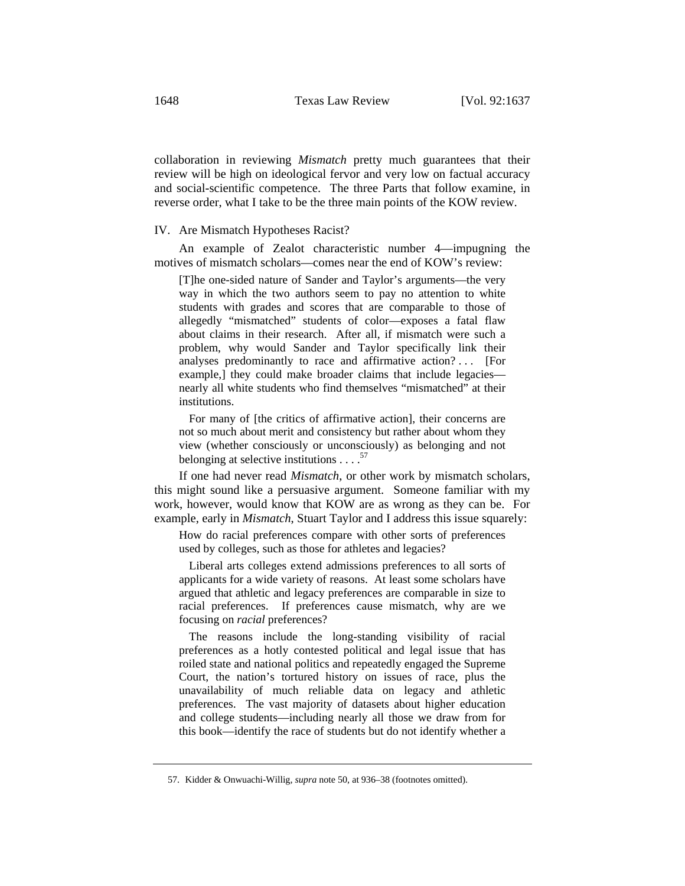collaboration in reviewing *Mismatch* pretty much guarantees that their review will be high on ideological fervor and very low on factual accuracy and social-scientific competence. The three Parts that follow examine, in reverse order, what I take to be the three main points of the KOW review.

#### IV. Are Mismatch Hypotheses Racist?

An example of Zealot characteristic number 4—impugning the motives of mismatch scholars—comes near the end of KOW's review:

[T]he one-sided nature of Sander and Taylor's arguments—the very way in which the two authors seem to pay no attention to white students with grades and scores that are comparable to those of allegedly "mismatched" students of color—exposes a fatal flaw about claims in their research. After all, if mismatch were such a problem, why would Sander and Taylor specifically link their analyses predominantly to race and affirmative action? . . . [For example,] they could make broader claims that include legacies nearly all white students who find themselves "mismatched" at their institutions.

 For many of [the critics of affirmative action], their concerns are not so much about merit and consistency but rather about whom they view (whether consciously or unconsciously) as belonging and not belonging at selective institutions  $\ldots$ .<sup>57</sup>

If one had never read *Mismatch*, or other work by mismatch scholars, this might sound like a persuasive argument. Someone familiar with my work, however, would know that KOW are as wrong as they can be. For example, early in *Mismatch*, Stuart Taylor and I address this issue squarely:

How do racial preferences compare with other sorts of preferences used by colleges, such as those for athletes and legacies?

 Liberal arts colleges extend admissions preferences to all sorts of applicants for a wide variety of reasons. At least some scholars have argued that athletic and legacy preferences are comparable in size to racial preferences. If preferences cause mismatch, why are we focusing on *racial* preferences?

 The reasons include the long-standing visibility of racial preferences as a hotly contested political and legal issue that has roiled state and national politics and repeatedly engaged the Supreme Court, the nation's tortured history on issues of race, plus the unavailability of much reliable data on legacy and athletic preferences. The vast majority of datasets about higher education and college students—including nearly all those we draw from for this book—identify the race of students but do not identify whether a

<sup>57.</sup> Kidder & Onwuachi-Willig, *supra* note 50, at 936–38 (footnotes omitted).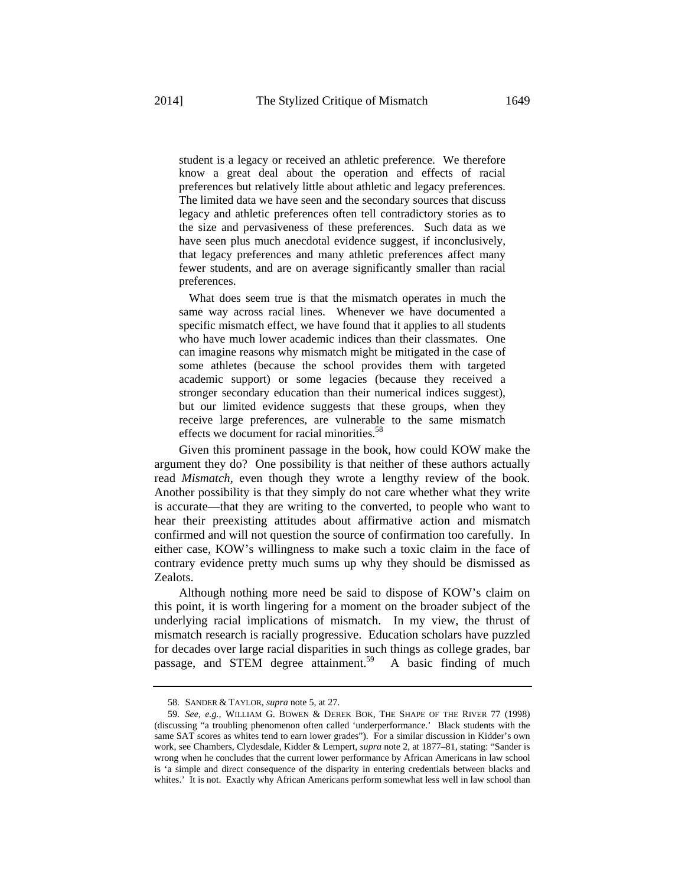student is a legacy or received an athletic preference. We therefore know a great deal about the operation and effects of racial preferences but relatively little about athletic and legacy preferences. The limited data we have seen and the secondary sources that discuss legacy and athletic preferences often tell contradictory stories as to the size and pervasiveness of these preferences. Such data as we have seen plus much anecdotal evidence suggest, if inconclusively, that legacy preferences and many athletic preferences affect many fewer students, and are on average significantly smaller than racial preferences.

 What does seem true is that the mismatch operates in much the same way across racial lines. Whenever we have documented a specific mismatch effect, we have found that it applies to all students who have much lower academic indices than their classmates. One can imagine reasons why mismatch might be mitigated in the case of some athletes (because the school provides them with targeted academic support) or some legacies (because they received a stronger secondary education than their numerical indices suggest), but our limited evidence suggests that these groups, when they receive large preferences, are vulnerable to the same mismatch effects we document for racial minorities.<sup>58</sup>

Given this prominent passage in the book, how could KOW make the argument they do? One possibility is that neither of these authors actually read *Mismatch*, even though they wrote a lengthy review of the book. Another possibility is that they simply do not care whether what they write is accurate—that they are writing to the converted, to people who want to hear their preexisting attitudes about affirmative action and mismatch confirmed and will not question the source of confirmation too carefully. In either case, KOW's willingness to make such a toxic claim in the face of contrary evidence pretty much sums up why they should be dismissed as Zealots.

Although nothing more need be said to dispose of KOW's claim on this point, it is worth lingering for a moment on the broader subject of the underlying racial implications of mismatch. In my view, the thrust of mismatch research is racially progressive. Education scholars have puzzled for decades over large racial disparities in such things as college grades, bar passage, and STEM degree attainment.<sup>59</sup> A basic finding of much

<sup>58.</sup> SANDER & TAYLOR, *supra* note 5, at 27.

<sup>59.</sup> *See, e.g.*, WILLIAM G. BOWEN & DEREK BOK, THE SHAPE OF THE RIVER 77 (1998) (discussing "a troubling phenomenon often called 'underperformance.' Black students with the same SAT scores as whites tend to earn lower grades"). For a similar discussion in Kidder's own work, see Chambers, Clydesdale, Kidder & Lempert, *supra* note 2, at 1877–81, stating: "Sander is wrong when he concludes that the current lower performance by African Americans in law school is 'a simple and direct consequence of the disparity in entering credentials between blacks and whites.' It is not. Exactly why African Americans perform somewhat less well in law school than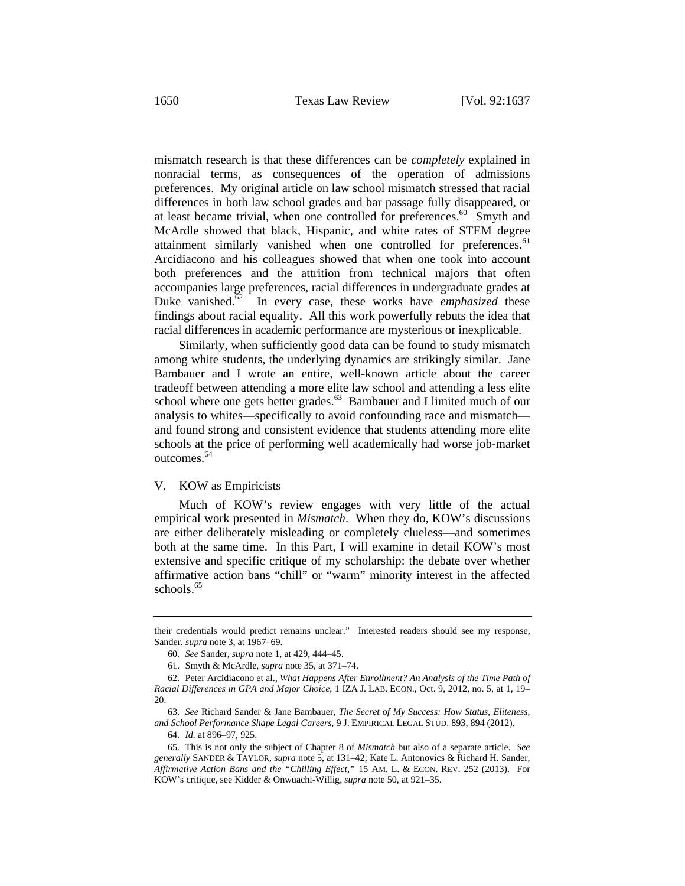mismatch research is that these differences can be *completely* explained in nonracial terms, as consequences of the operation of admissions preferences. My original article on law school mismatch stressed that racial differences in both law school grades and bar passage fully disappeared, or at least became trivial, when one controlled for preferences.<sup>60</sup> Smyth and McArdle showed that black, Hispanic, and white rates of STEM degree attainment similarly vanished when one controlled for preferences.<sup>61</sup> Arcidiacono and his colleagues showed that when one took into account both preferences and the attrition from technical majors that often accompanies large preferences, racial differences in undergraduate grades at Duke vanished.<sup>62</sup> In every case, these works have *emphasized* these findings about racial equality. All this work powerfully rebuts the idea that racial differences in academic performance are mysterious or inexplicable.

Similarly, when sufficiently good data can be found to study mismatch among white students, the underlying dynamics are strikingly similar. Jane Bambauer and I wrote an entire, well-known article about the career tradeoff between attending a more elite law school and attending a less elite school where one gets better grades.<sup>63</sup> Bambauer and I limited much of our analysis to whites—specifically to avoid confounding race and mismatch and found strong and consistent evidence that students attending more elite schools at the price of performing well academically had worse job-market outcomes.<sup>64</sup>

# V. KOW as Empiricists

Much of KOW's review engages with very little of the actual empirical work presented in *Mismatch*. When they do, KOW's discussions are either deliberately misleading or completely clueless—and sometimes both at the same time. In this Part, I will examine in detail KOW's most extensive and specific critique of my scholarship: the debate over whether affirmative action bans "chill" or "warm" minority interest in the affected schools. $65$ 

64. *Id.* at 896–97, 925.

their credentials would predict remains unclear." Interested readers should see my response, Sander, *supra* note 3, at 1967–69.

<sup>60.</sup> *See* Sander, *supra* note 1, at 429, 444–45.

<sup>61.</sup> Smyth & McArdle, *supra* note 35, at 371–74.

<sup>62.</sup> Peter Arcidiacono et al., *What Happens After Enrollment? An Analysis of the Time Path of Racial Differences in GPA and Major Choice*, 1 IZA J. LAB. ECON., Oct. 9, 2012, no. 5, at 1, 19– 20.

<sup>63.</sup> *See* Richard Sander & Jane Bambauer, *The Secret of My Success: How Status, Eliteness, and School Performance Shape Legal Careers*, 9 J. EMPIRICAL LEGAL STUD. 893, 894 (2012).

<sup>65.</sup> This is not only the subject of Chapter 8 of *Mismatch* but also of a separate article. *See generally* SANDER & TAYLOR, *supra* note 5, at 131–42; Kate L. Antonovics & Richard H. Sander, *Affirmative Action Bans and the "Chilling Effect*,*"* 15 AM. L. & ECON. REV. 252 (2013). For KOW's critique, see Kidder & Onwuachi-Willig, *supra* note 50, at 921–35.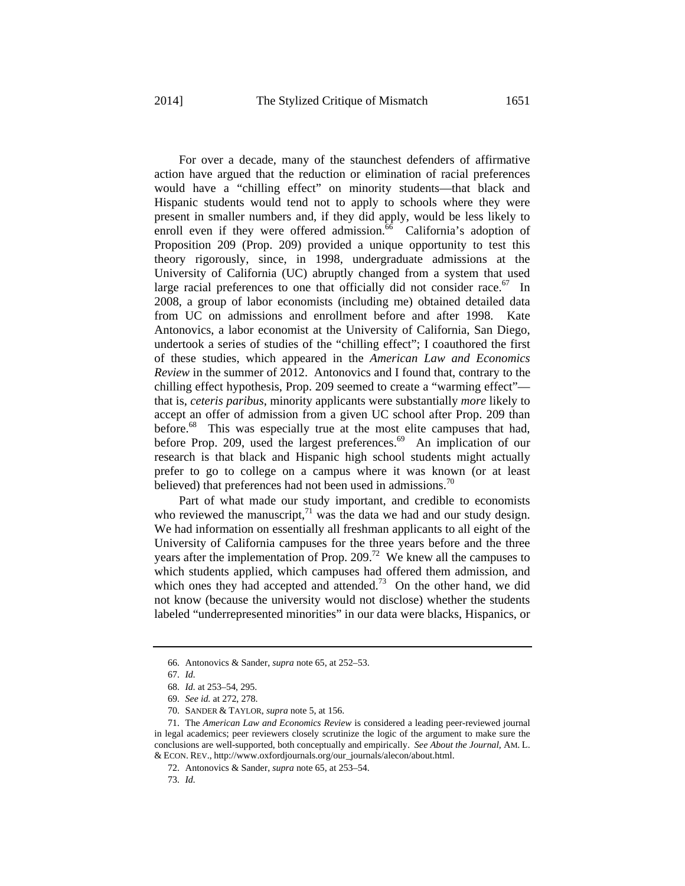For over a decade, many of the staunchest defenders of affirmative action have argued that the reduction or elimination of racial preferences would have a "chilling effect" on minority students—that black and Hispanic students would tend not to apply to schools where they were present in smaller numbers and, if they did apply, would be less likely to enroll even if they were offered admission.<sup>66</sup> California's adoption of Proposition 209 (Prop. 209) provided a unique opportunity to test this theory rigorously, since, in 1998, undergraduate admissions at the University of California (UC) abruptly changed from a system that used large racial preferences to one that officially did not consider race.<sup>67</sup> In 2008, a group of labor economists (including me) obtained detailed data from UC on admissions and enrollment before and after 1998. Kate Antonovics, a labor economist at the University of California, San Diego, undertook a series of studies of the "chilling effect"; I coauthored the first of these studies, which appeared in the *American Law and Economics Review* in the summer of 2012. Antonovics and I found that, contrary to the chilling effect hypothesis, Prop. 209 seemed to create a "warming effect" that is, *ceteris paribus*, minority applicants were substantially *more* likely to accept an offer of admission from a given UC school after Prop. 209 than before.<sup>68</sup> This was especially true at the most elite campuses that had, before Prop. 209, used the largest preferences.<sup>69</sup> An implication of our research is that black and Hispanic high school students might actually prefer to go to college on a campus where it was known (or at least believed) that preferences had not been used in admissions.<sup>70</sup>

Part of what made our study important, and credible to economists who reviewed the manuscript, $71$  was the data we had and our study design. We had information on essentially all freshman applicants to all eight of the University of California campuses for the three years before and the three years after the implementation of Prop. 209.<sup>72</sup> We knew all the campuses to which students applied, which campuses had offered them admission, and which ones they had accepted and attended.<sup>73</sup> On the other hand, we did not know (because the university would not disclose) whether the students labeled "underrepresented minorities" in our data were blacks, Hispanics, or

<sup>66.</sup> Antonovics & Sander, *supra* note 65, at 252–53.

<sup>67.</sup> *Id.*

<sup>68.</sup> *Id.* at 253–54, 295.

<sup>69.</sup> *See id.* at 272, 278.

<sup>70.</sup> SANDER & TAYLOR, *supra* note 5, at 156.

<sup>71.</sup> The *American Law and Economics Review* is considered a leading peer-reviewed journal in legal academics; peer reviewers closely scrutinize the logic of the argument to make sure the conclusions are well-supported, both conceptually and empirically. *See About the Journal*, AM. L. & ECON. REV., http://www.oxfordjournals.org/our\_journals/alecon/about.html.

<sup>72.</sup> Antonovics & Sander, *supra* note 65, at 253–54.

<sup>73.</sup> *Id.*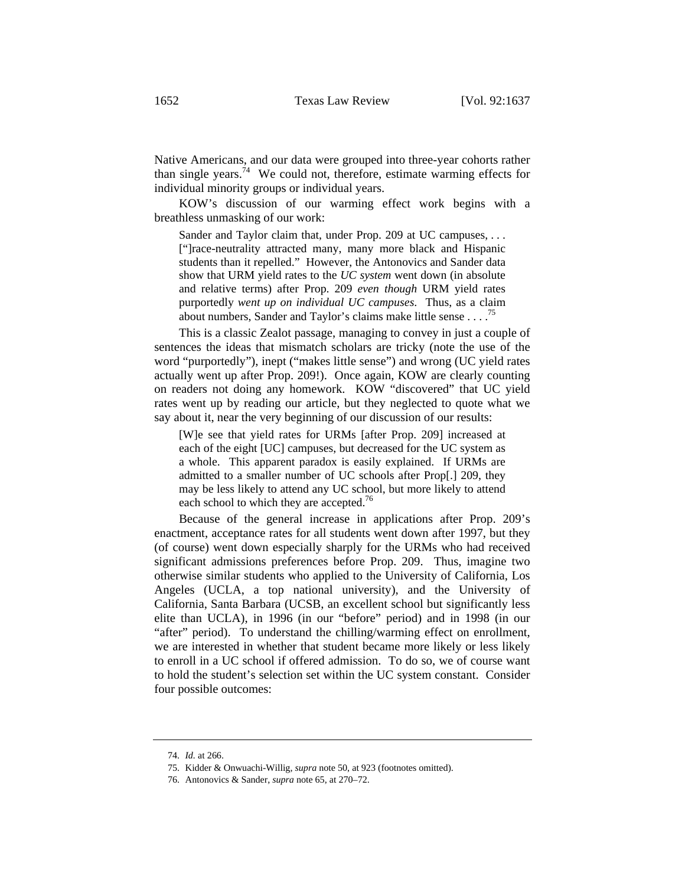Native Americans, and our data were grouped into three-year cohorts rather than single years.<sup>74</sup> We could not, therefore, estimate warming effects for individual minority groups or individual years.

KOW's discussion of our warming effect work begins with a breathless unmasking of our work:

Sander and Taylor claim that, under Prop. 209 at UC campuses, ... ["]race-neutrality attracted many, many more black and Hispanic students than it repelled." However, the Antonovics and Sander data show that URM yield rates to the *UC system* went down (in absolute and relative terms) after Prop. 209 *even though* URM yield rates purportedly *went up on individual UC campuses*. Thus, as a claim about numbers, Sander and Taylor's claims make little sense  $\ldots$ .<sup>75</sup>

This is a classic Zealot passage, managing to convey in just a couple of sentences the ideas that mismatch scholars are tricky (note the use of the word "purportedly"), inept ("makes little sense") and wrong (UC yield rates actually went up after Prop. 209!). Once again, KOW are clearly counting on readers not doing any homework. KOW "discovered" that UC yield rates went up by reading our article, but they neglected to quote what we say about it, near the very beginning of our discussion of our results:

[W]e see that yield rates for URMs [after Prop. 209] increased at each of the eight [UC] campuses, but decreased for the UC system as a whole. This apparent paradox is easily explained. If URMs are admitted to a smaller number of UC schools after Prop[.] 209, they may be less likely to attend any UC school, but more likely to attend each school to which they are accepted.<sup>76</sup>

Because of the general increase in applications after Prop. 209's enactment, acceptance rates for all students went down after 1997, but they (of course) went down especially sharply for the URMs who had received significant admissions preferences before Prop. 209. Thus, imagine two otherwise similar students who applied to the University of California, Los Angeles (UCLA, a top national university), and the University of California, Santa Barbara (UCSB, an excellent school but significantly less elite than UCLA), in 1996 (in our "before" period) and in 1998 (in our "after" period). To understand the chilling/warming effect on enrollment, we are interested in whether that student became more likely or less likely to enroll in a UC school if offered admission. To do so, we of course want to hold the student's selection set within the UC system constant. Consider four possible outcomes:

<sup>74.</sup> *Id.* at 266.

<sup>75.</sup> Kidder & Onwuachi-Willig, *supra* note 50, at 923 (footnotes omitted).

<sup>76.</sup> Antonovics & Sander, *supra* note 65, at 270–72.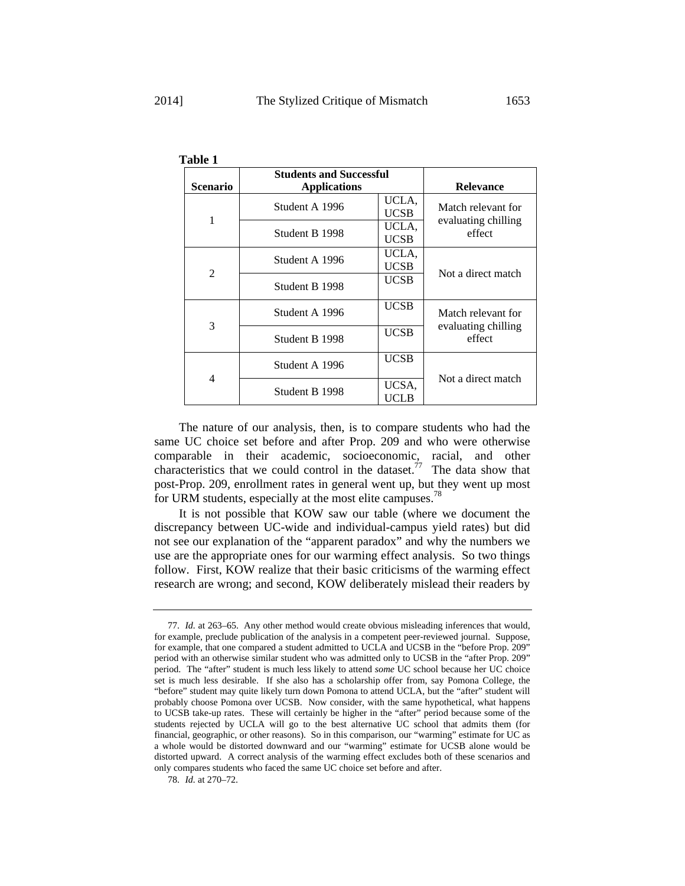|                 | <b>Students and Successful</b> |                      |                                                     |
|-----------------|--------------------------------|----------------------|-----------------------------------------------------|
| <b>Scenario</b> | <b>Applications</b>            |                      | <b>Relevance</b>                                    |
| 1               | Student A 1996                 | UCLA,<br><b>UCSB</b> | Match relevant for<br>evaluating chilling<br>effect |
|                 | Student B 1998                 | UCLA,<br><b>UCSB</b> |                                                     |
| $\overline{2}$  | Student A 1996                 | UCLA,<br><b>UCSB</b> | Not a direct match                                  |
|                 | Student B 1998                 | <b>UCSB</b>          |                                                     |
| 3               | Student A 1996                 | <b>UCSB</b>          | Match relevant for<br>evaluating chilling<br>effect |
|                 | Student B 1998                 | <b>UCSB</b>          |                                                     |
| 4               | Student A 1996                 | <b>UCSB</b>          | Not a direct match                                  |
|                 | Student B 1998                 | UCSA,<br><b>UCLB</b> |                                                     |

**Table 1**

The nature of our analysis, then, is to compare students who had the same UC choice set before and after Prop. 209 and who were otherwise comparable in their academic, socioeconomic, racial, and other characteristics that we could control in the dataset.<sup> $77$ </sup> The data show that post-Prop. 209, enrollment rates in general went up, but they went up most for URM students, especially at the most elite campuses.<sup>78</sup>

It is not possible that KOW saw our table (where we document the discrepancy between UC-wide and individual-campus yield rates) but did not see our explanation of the "apparent paradox" and why the numbers we use are the appropriate ones for our warming effect analysis. So two things follow. First, KOW realize that their basic criticisms of the warming effect research are wrong; and second, KOW deliberately mislead their readers by

<sup>77.</sup> *Id.* at 263–65. Any other method would create obvious misleading inferences that would, for example, preclude publication of the analysis in a competent peer-reviewed journal. Suppose, for example, that one compared a student admitted to UCLA and UCSB in the "before Prop. 209" period with an otherwise similar student who was admitted only to UCSB in the "after Prop. 209" period. The "after" student is much less likely to attend *some* UC school because her UC choice set is much less desirable. If she also has a scholarship offer from, say Pomona College, the "before" student may quite likely turn down Pomona to attend UCLA, but the "after" student will probably choose Pomona over UCSB. Now consider, with the same hypothetical, what happens to UCSB take-up rates. These will certainly be higher in the "after" period because some of the students rejected by UCLA will go to the best alternative UC school that admits them (for financial, geographic, or other reasons). So in this comparison, our "warming" estimate for UC as a whole would be distorted downward and our "warming" estimate for UCSB alone would be distorted upward. A correct analysis of the warming effect excludes both of these scenarios and only compares students who faced the same UC choice set before and after.

<sup>78.</sup> *Id.* at 270–72.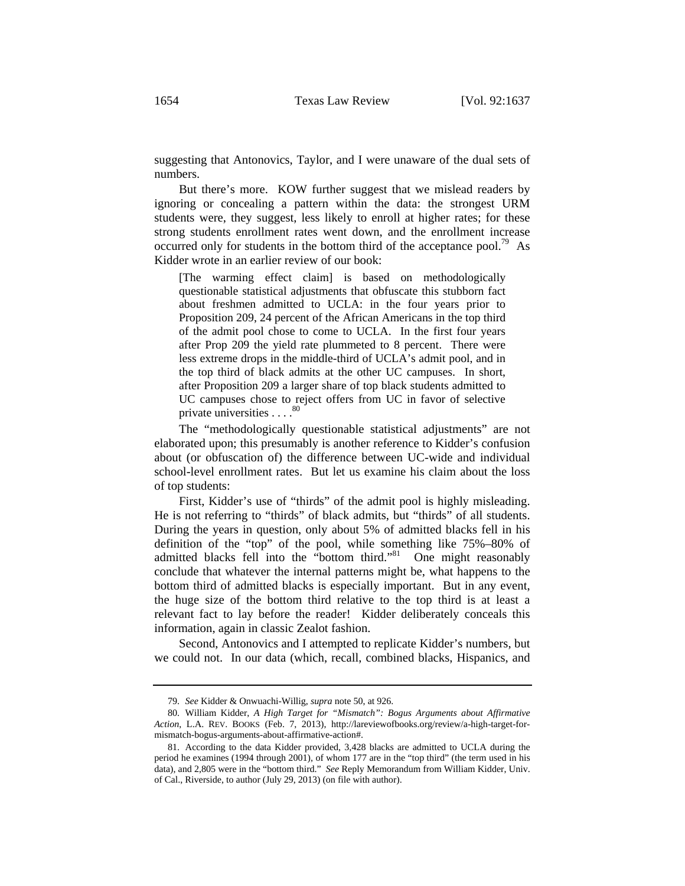suggesting that Antonovics, Taylor, and I were unaware of the dual sets of numbers.

But there's more. KOW further suggest that we mislead readers by ignoring or concealing a pattern within the data: the strongest URM students were, they suggest, less likely to enroll at higher rates; for these strong students enrollment rates went down, and the enrollment increase occurred only for students in the bottom third of the acceptance pool.<sup>79</sup> As Kidder wrote in an earlier review of our book:

[The warming effect claim] is based on methodologically questionable statistical adjustments that obfuscate this stubborn fact about freshmen admitted to UCLA: in the four years prior to Proposition 209, 24 percent of the African Americans in the top third of the admit pool chose to come to UCLA. In the first four years after Prop 209 the yield rate plummeted to 8 percent. There were less extreme drops in the middle-third of UCLA's admit pool, and in the top third of black admits at the other UC campuses. In short, after Proposition 209 a larger share of top black students admitted to UC campuses chose to reject offers from UC in favor of selective private universities . . . . 80

The "methodologically questionable statistical adjustments" are not elaborated upon; this presumably is another reference to Kidder's confusion about (or obfuscation of) the difference between UC-wide and individual school-level enrollment rates. But let us examine his claim about the loss of top students:

First, Kidder's use of "thirds" of the admit pool is highly misleading. He is not referring to "thirds" of black admits, but "thirds" of all students. During the years in question, only about 5% of admitted blacks fell in his definition of the "top" of the pool, while something like 75%–80% of admitted blacks fell into the "bottom third."<sup>81</sup> One might reasonably conclude that whatever the internal patterns might be, what happens to the bottom third of admitted blacks is especially important. But in any event, the huge size of the bottom third relative to the top third is at least a relevant fact to lay before the reader! Kidder deliberately conceals this information, again in classic Zealot fashion.

Second, Antonovics and I attempted to replicate Kidder's numbers, but we could not. In our data (which, recall, combined blacks, Hispanics, and

<sup>79.</sup> *See* Kidder & Onwuachi-Willig, *supra* note 50, at 926.

<sup>80.</sup> William Kidder, *A High Target for "Mismatch": Bogus Arguments about Affirmative Action*, L.A. REV. BOOKS (Feb. 7, 2013), http://lareviewofbooks.org/review/a-high-target-formismatch-bogus-arguments-about-affirmative-action#.

<sup>81.</sup> According to the data Kidder provided, 3,428 blacks are admitted to UCLA during the period he examines (1994 through 2001), of whom 177 are in the "top third" (the term used in his data), and 2,805 were in the "bottom third."*See* Reply Memorandum from William Kidder, Univ. of Cal., Riverside, to author (July 29, 2013) (on file with author).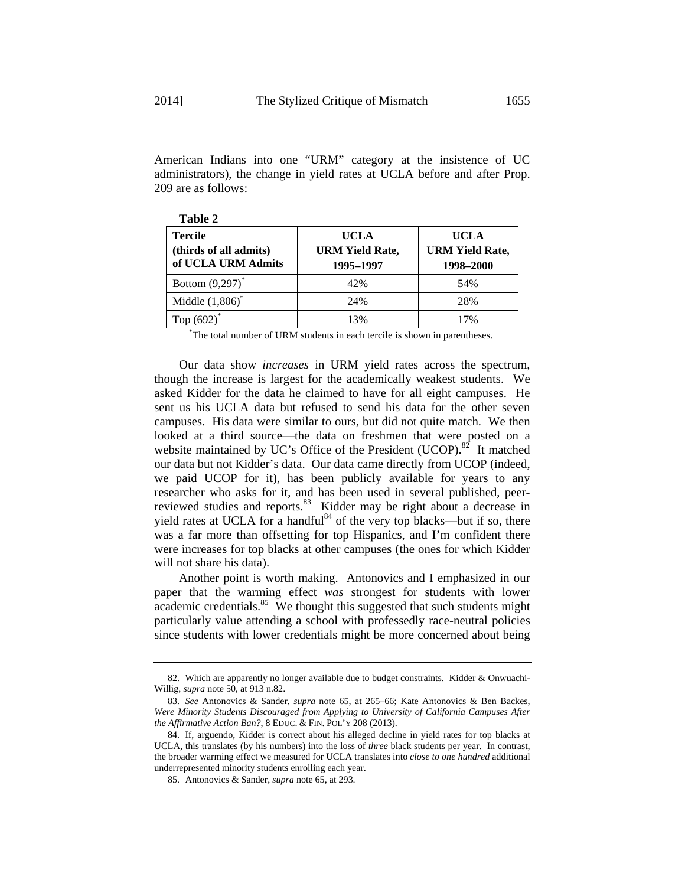American Indians into one "URM" category at the insistence of UC administrators), the change in yield rates at UCLA before and after Prop. 209 are as follows:

| <b>Tercile</b><br>(thirds of all admits)<br>of UCLA URM Admits | <b>UCLA</b><br><b>URM Yield Rate,</b><br>1995-1997 | <b>UCLA</b><br><b>URM Yield Rate,</b><br>1998-2000 |
|----------------------------------------------------------------|----------------------------------------------------|----------------------------------------------------|
| Bottom $(9,297)^*$                                             | 42%                                                | 54%                                                |
| Middle $(1,806)^*$                                             | 24%                                                | 28%                                                |
| Top $(692)^*$                                                  | 13%                                                | 17%                                                |

**Table 2** 

\* The total number of URM students in each tercile is shown in parentheses.

Our data show *increases* in URM yield rates across the spectrum, though the increase is largest for the academically weakest students. We asked Kidder for the data he claimed to have for all eight campuses. He sent us his UCLA data but refused to send his data for the other seven campuses. His data were similar to ours, but did not quite match. We then looked at a third source—the data on freshmen that were posted on a website maintained by UC's Office of the President (UCOP). $82$  It matched our data but not Kidder's data. Our data came directly from UCOP (indeed, we paid UCOP for it), has been publicly available for years to any researcher who asks for it, and has been used in several published, peerreviewed studies and reports.<sup>83</sup> Kidder may be right about a decrease in yield rates at UCLA for a handful $84$  of the very top blacks—but if so, there was a far more than offsetting for top Hispanics, and I'm confident there were increases for top blacks at other campuses (the ones for which Kidder will not share his data).

Another point is worth making. Antonovics and I emphasized in our paper that the warming effect *was* strongest for students with lower academic credentials. $85$  We thought this suggested that such students might particularly value attending a school with professedly race-neutral policies since students with lower credentials might be more concerned about being

<sup>82.</sup> Which are apparently no longer available due to budget constraints. Kidder & Onwuachi-Willig, *supra* note 50, at 913 n.82.

<sup>83.</sup> *See* Antonovics & Sander, *supra* note 65, at 265–66; Kate Antonovics & Ben Backes, *Were Minority Students Discouraged from Applying to University of California Campuses After the Affirmative Action Ban?*, 8 EDUC. & FIN. POL'Y 208 (2013).

<sup>84.</sup> If, arguendo, Kidder is correct about his alleged decline in yield rates for top blacks at UCLA, this translates (by his numbers) into the loss of *three* black students per year. In contrast, the broader warming effect we measured for UCLA translates into *close to one hundred* additional underrepresented minority students enrolling each year.

<sup>85.</sup> Antonovics & Sander, *supra* note 65, at 293.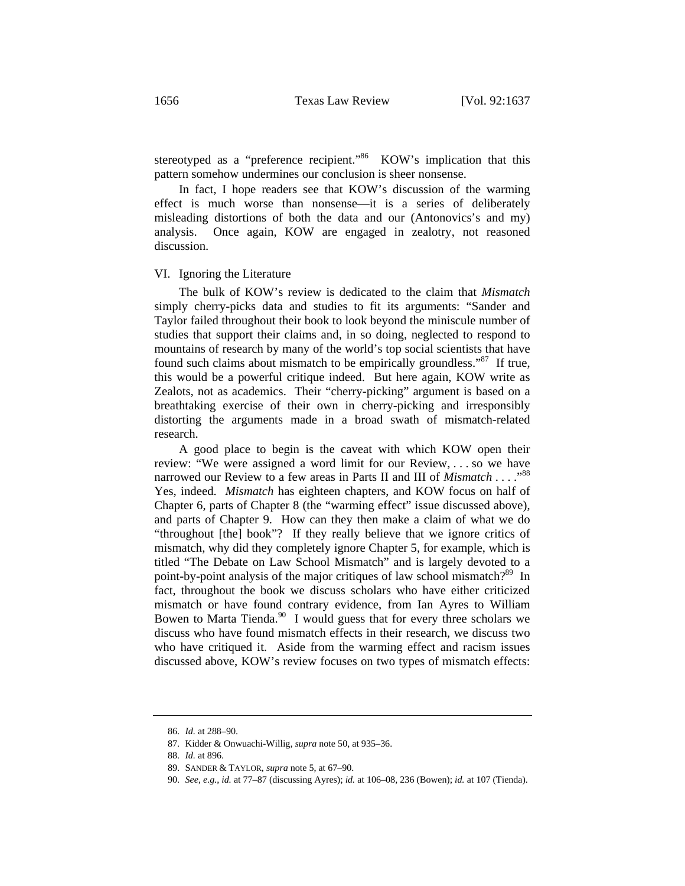stereotyped as a "preference recipient."<sup>86</sup> KOW's implication that this pattern somehow undermines our conclusion is sheer nonsense.

In fact, I hope readers see that KOW's discussion of the warming effect is much worse than nonsense—it is a series of deliberately misleading distortions of both the data and our (Antonovics's and my) analysis. Once again, KOW are engaged in zealotry, not reasoned discussion.

#### VI. Ignoring the Literature

The bulk of KOW's review is dedicated to the claim that *Mismatch* simply cherry-picks data and studies to fit its arguments: "Sander and Taylor failed throughout their book to look beyond the miniscule number of studies that support their claims and, in so doing, neglected to respond to mountains of research by many of the world's top social scientists that have found such claims about mismatch to be empirically groundless."87 If true, this would be a powerful critique indeed. But here again, KOW write as Zealots, not as academics. Their "cherry-picking" argument is based on a breathtaking exercise of their own in cherry-picking and irresponsibly distorting the arguments made in a broad swath of mismatch-related research.

A good place to begin is the caveat with which KOW open their review: "We were assigned a word limit for our Review, . . . so we have narrowed our Review to a few areas in Parts II and III of *Mismatch* . . . . "<sup>88</sup> Yes, indeed. *Mismatch* has eighteen chapters, and KOW focus on half of Chapter 6, parts of Chapter 8 (the "warming effect" issue discussed above), and parts of Chapter 9. How can they then make a claim of what we do "throughout [the] book"? If they really believe that we ignore critics of mismatch, why did they completely ignore Chapter 5, for example, which is titled "The Debate on Law School Mismatch" and is largely devoted to a point-by-point analysis of the major critiques of law school mismatch?<sup>89</sup> In fact, throughout the book we discuss scholars who have either criticized mismatch or have found contrary evidence, from Ian Ayres to William Bowen to Marta Tienda. $90\,$  I would guess that for every three scholars we discuss who have found mismatch effects in their research, we discuss two who have critiqued it. Aside from the warming effect and racism issues discussed above, KOW's review focuses on two types of mismatch effects:

<sup>86.</sup> *Id.* at 288–90.

<sup>87.</sup> Kidder & Onwuachi-Willig, *supra* note 50, at 935–36.

<sup>88.</sup> *Id.* at 896.

<sup>89.</sup> SANDER & TAYLOR, *supra* note 5, at 67–90.

<sup>90.</sup> *See, e.g.*, *id.* at 77–87 (discussing Ayres); *id.* at 106–08, 236 (Bowen); *id.* at 107 (Tienda).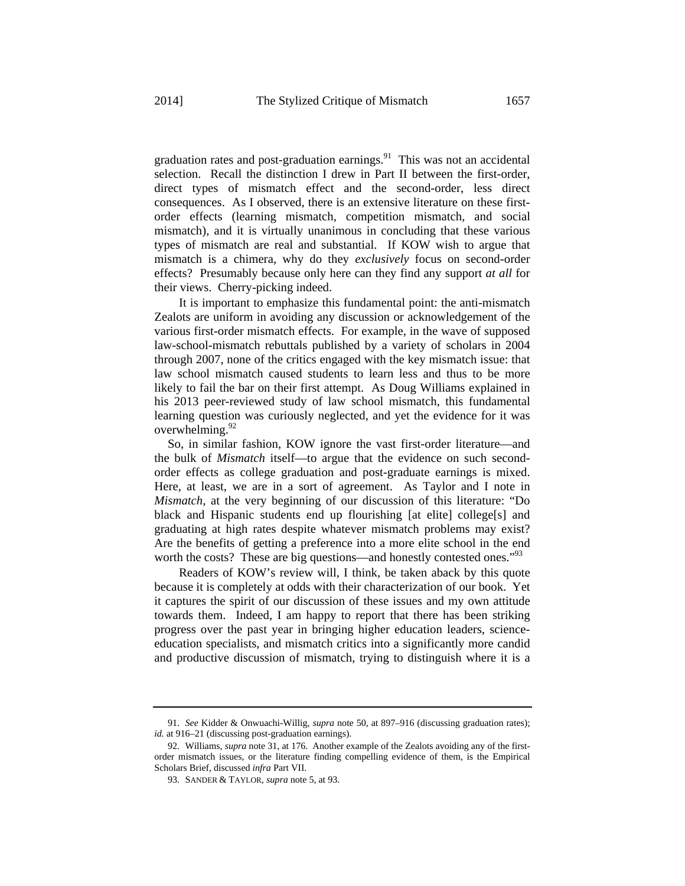graduation rates and post-graduation earnings. $91$  This was not an accidental selection. Recall the distinction I drew in Part II between the first-order, direct types of mismatch effect and the second-order, less direct consequences. As I observed, there is an extensive literature on these firstorder effects (learning mismatch, competition mismatch, and social mismatch), and it is virtually unanimous in concluding that these various types of mismatch are real and substantial. If KOW wish to argue that mismatch is a chimera, why do they *exclusively* focus on second-order

effects? Presumably because only here can they find any support *at all* for

their views. Cherry-picking indeed.

It is important to emphasize this fundamental point: the anti-mismatch Zealots are uniform in avoiding any discussion or acknowledgement of the various first-order mismatch effects. For example, in the wave of supposed law-school-mismatch rebuttals published by a variety of scholars in 2004 through 2007, none of the critics engaged with the key mismatch issue: that law school mismatch caused students to learn less and thus to be more likely to fail the bar on their first attempt. As Doug Williams explained in his 2013 peer-reviewed study of law school mismatch, this fundamental learning question was curiously neglected, and yet the evidence for it was overwhelming. $92$ 

 So, in similar fashion, KOW ignore the vast first-order literature—and the bulk of *Mismatch* itself—to argue that the evidence on such secondorder effects as college graduation and post-graduate earnings is mixed. Here, at least, we are in a sort of agreement. As Taylor and I note in *Mismatch*, at the very beginning of our discussion of this literature: "Do black and Hispanic students end up flourishing [at elite] college[s] and graduating at high rates despite whatever mismatch problems may exist? Are the benefits of getting a preference into a more elite school in the end worth the costs? These are big questions—and honestly contested ones.<sup>"93</sup>

Readers of KOW's review will, I think, be taken aback by this quote because it is completely at odds with their characterization of our book. Yet it captures the spirit of our discussion of these issues and my own attitude towards them. Indeed, I am happy to report that there has been striking progress over the past year in bringing higher education leaders, scienceeducation specialists, and mismatch critics into a significantly more candid and productive discussion of mismatch, trying to distinguish where it is a

91. *See* Kidder & Onwuachi-Willig, *supra* note 50, at 897–916 (discussing graduation rates); id. at 916–21 (discussing post-graduation earnings).

<sup>92.</sup> Williams, *supra* note 31, at 176. Another example of the Zealots avoiding any of the firstorder mismatch issues, or the literature finding compelling evidence of them, is the Empirical Scholars Brief, discussed *infra* Part VII.

<sup>93.</sup> SANDER & TAYLOR, *supra* note 5, at 93.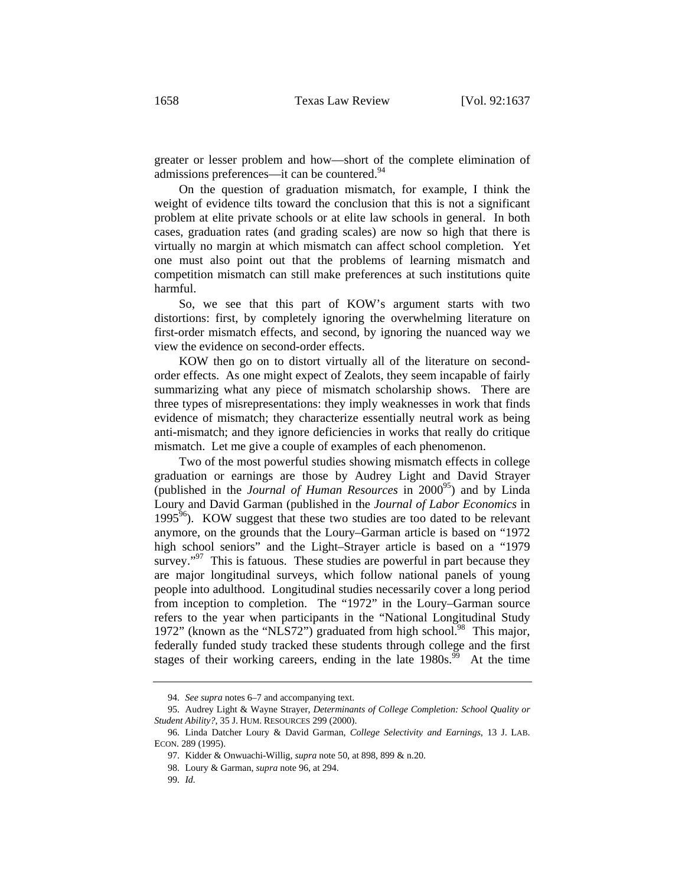greater or lesser problem and how—short of the complete elimination of admissions preferences—it can be countered.<sup>94</sup>

On the question of graduation mismatch, for example, I think the weight of evidence tilts toward the conclusion that this is not a significant problem at elite private schools or at elite law schools in general. In both cases, graduation rates (and grading scales) are now so high that there is virtually no margin at which mismatch can affect school completion. Yet one must also point out that the problems of learning mismatch and competition mismatch can still make preferences at such institutions quite harmful.

So, we see that this part of KOW's argument starts with two distortions: first, by completely ignoring the overwhelming literature on first-order mismatch effects, and second, by ignoring the nuanced way we view the evidence on second-order effects.

KOW then go on to distort virtually all of the literature on secondorder effects. As one might expect of Zealots, they seem incapable of fairly summarizing what any piece of mismatch scholarship shows. There are three types of misrepresentations: they imply weaknesses in work that finds evidence of mismatch; they characterize essentially neutral work as being anti-mismatch; and they ignore deficiencies in works that really do critique mismatch. Let me give a couple of examples of each phenomenon.

Two of the most powerful studies showing mismatch effects in college graduation or earnings are those by Audrey Light and David Strayer (published in the *Journal of Human Resources* in 2000<sup>95</sup>) and by Linda Loury and David Garman (published in the *Journal of Labor Economics* in 1995 $96$ ). KOW suggest that these two studies are too dated to be relevant anymore, on the grounds that the Loury–Garman article is based on "1972 high school seniors" and the Light–Strayer article is based on a "1979 survey."<sup>97</sup> This is fatuous. These studies are powerful in part because they are major longitudinal surveys, which follow national panels of young people into adulthood. Longitudinal studies necessarily cover a long period from inception to completion. The "1972" in the Loury–Garman source refers to the year when participants in the "National Longitudinal Study 1972" (known as the "NLS72") graduated from high school.<sup>98</sup> This major, federally funded study tracked these students through college and the first stages of their working careers, ending in the late  $1980s^{99}$ . At the time

<sup>94.</sup> *See supra* notes 6–7 and accompanying text.

<sup>95.</sup> Audrey Light & Wayne Strayer, *Determinants of College Completion: School Quality or Student Ability?*, 35 J. HUM. RESOURCES 299 (2000).

<sup>96.</sup> Linda Datcher Loury & David Garman, *College Selectivity and Earnings*, 13 J. LAB. ECON. 289 (1995).

<sup>97.</sup> Kidder & Onwuachi-Willig, *supra* note 50, at 898, 899 & n.20.

<sup>98.</sup> Loury & Garman, *supra* note 96, at 294.

<sup>99.</sup> *Id.*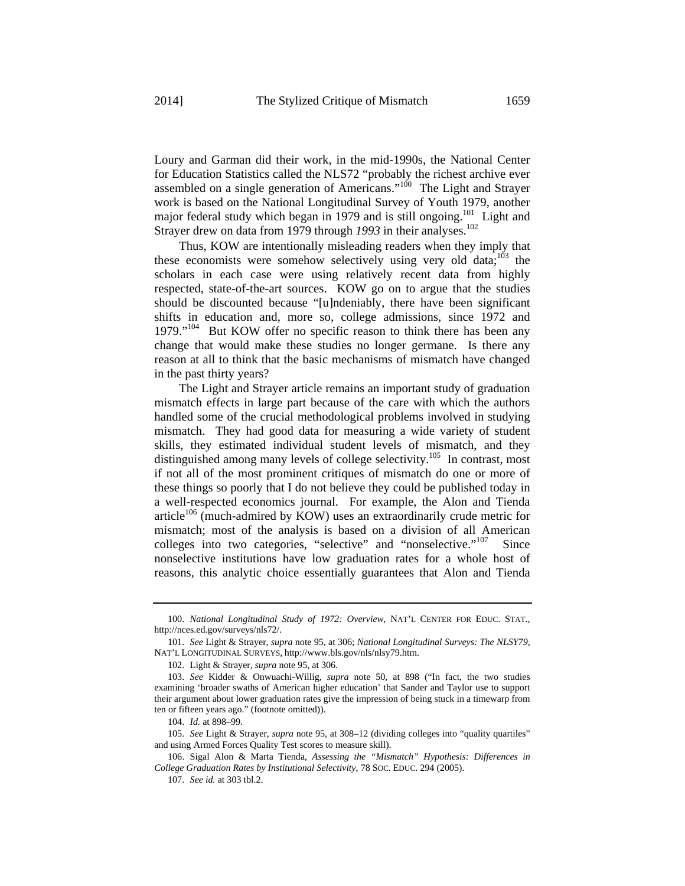Loury and Garman did their work, in the mid-1990s, the National Center for Education Statistics called the NLS72 "probably the richest archive ever assembled on a single generation of Americans."<sup>100</sup> The Light and Strayer work is based on the National Longitudinal Survey of Youth 1979, another major federal study which began in 1979 and is still ongoing.<sup>101</sup> Light and Strayer drew on data from 1979 through 1993 in their analyses.<sup>102</sup>

Thus, KOW are intentionally misleading readers when they imply that these economists were somehow selectively using very old data;<sup>103</sup> the scholars in each case were using relatively recent data from highly respected, state-of-the-art sources. KOW go on to argue that the studies should be discounted because "[u]ndeniably, there have been significant shifts in education and, more so, college admissions, since 1972 and  $1979.^{104}$  But KOW offer no specific reason to think there has been any change that would make these studies no longer germane. Is there any reason at all to think that the basic mechanisms of mismatch have changed in the past thirty years?

The Light and Strayer article remains an important study of graduation mismatch effects in large part because of the care with which the authors handled some of the crucial methodological problems involved in studying mismatch. They had good data for measuring a wide variety of student skills, they estimated individual student levels of mismatch, and they distinguished among many levels of college selectivity.<sup>105</sup> In contrast, most if not all of the most prominent critiques of mismatch do one or more of these things so poorly that I do not believe they could be published today in a well-respected economics journal. For example, the Alon and Tienda article<sup>106</sup> (much-admired by KOW) uses an extraordinarily crude metric for mismatch; most of the analysis is based on a division of all American colleges into two categories, "selective" and "nonselective."<sup>107</sup> Since nonselective institutions have low graduation rates for a whole host of reasons, this analytic choice essentially guarantees that Alon and Tienda

<sup>100.</sup> *National Longitudinal Study of 1972: Overview*, NAT'L CENTER FOR EDUC. STAT., http://nces.ed.gov/surveys/nls72/.

<sup>101.</sup> *See* Light & Strayer, *supra* note 95, at 306; *National Longitudinal Surveys: The NLSY79*, NAT'L LONGITUDINAL SURVEYS, http://www.bls.gov/nls/nlsy79.htm.

<sup>102.</sup> Light & Strayer, *supra* note 95, at 306.

<sup>103.</sup> *See* Kidder & Onwuachi-Willig, *supra* note 50, at 898 ("In fact, the two studies examining 'broader swaths of American higher education' that Sander and Taylor use to support their argument about lower graduation rates give the impression of being stuck in a timewarp from ten or fifteen years ago." (footnote omitted)).

<sup>104.</sup> *Id.* at 898–99.

<sup>105.</sup> *See* Light & Strayer, *supra* note 95, at 308–12 (dividing colleges into "quality quartiles" and using Armed Forces Quality Test scores to measure skill).

<sup>106.</sup> Sigal Alon & Marta Tienda, *Assessing the "Mismatch" Hypothesis: Differences in College Graduation Rates by Institutional Selectivity*, 78 SOC. EDUC. 294 (2005).

<sup>107.</sup> *See id.* at 303 tbl.2.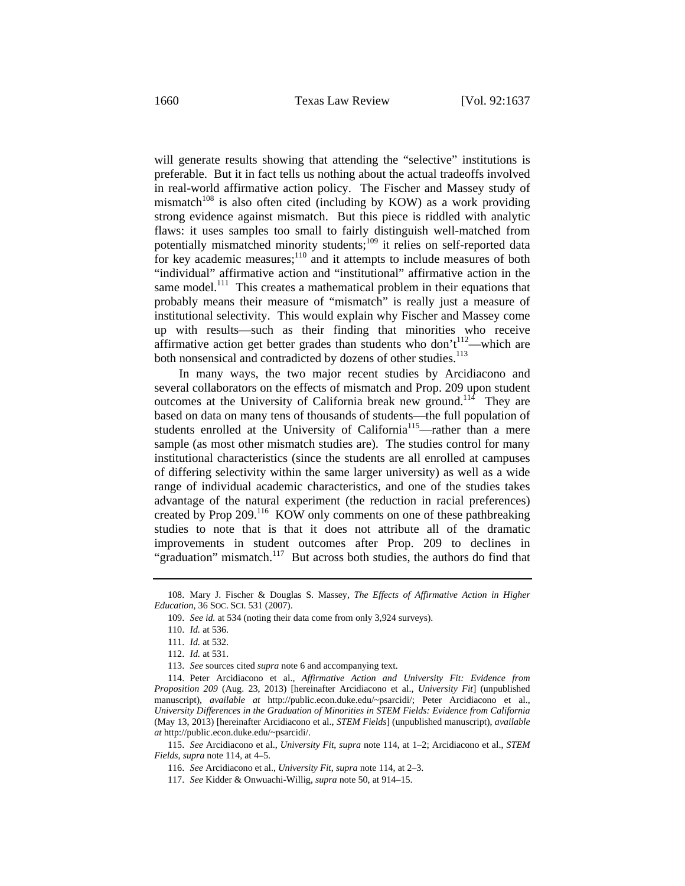will generate results showing that attending the "selective" institutions is preferable. But it in fact tells us nothing about the actual tradeoffs involved in real-world affirmative action policy. The Fischer and Massey study of mismatch<sup>108</sup> is also often cited (including by KOW) as a work providing strong evidence against mismatch. But this piece is riddled with analytic flaws: it uses samples too small to fairly distinguish well-matched from potentially mismatched minority students;<sup>109</sup> it relies on self-reported data for key academic measures; $110$  and it attempts to include measures of both "individual" affirmative action and "institutional" affirmative action in the same model.<sup>111</sup> This creates a mathematical problem in their equations that probably means their measure of "mismatch" is really just a measure of institutional selectivity. This would explain why Fischer and Massey come up with results—such as their finding that minorities who receive affirmative action get better grades than students who don't<sup>112</sup>—which are both nonsensical and contradicted by dozens of other studies.<sup>113</sup>

In many ways, the two major recent studies by Arcidiacono and several collaborators on the effects of mismatch and Prop. 209 upon student outcomes at the University of California break new ground.<sup>114</sup> They are based on data on many tens of thousands of students—the full population of students enrolled at the University of California<sup>115</sup>—rather than a mere sample (as most other mismatch studies are). The studies control for many institutional characteristics (since the students are all enrolled at campuses of differing selectivity within the same larger university) as well as a wide range of individual academic characteristics, and one of the studies takes advantage of the natural experiment (the reduction in racial preferences) created by Prop 209.<sup>116</sup> KOW only comments on one of these pathbreaking studies to note that is that it does not attribute all of the dramatic improvements in student outcomes after Prop. 209 to declines in "graduation" mismatch.<sup>117</sup> But across both studies, the authors do find that

<sup>108.</sup> Mary J. Fischer & Douglas S. Massey, *The Effects of Affirmative Action in Higher Education*, 36 SOC. SCI. 531 (2007).

<sup>109.</sup> *See id.* at 534 (noting their data come from only 3,924 surveys).

<sup>110.</sup> *Id.* at 536.

<sup>111.</sup> *Id.* at 532.

<sup>112.</sup> *Id.* at 531.

<sup>113.</sup> *See* sources cited *supra* note 6 and accompanying text.

<sup>114.</sup> Peter Arcidiacono et al., *Affirmative Action and University Fit: Evidence from Proposition 209* (Aug. 23, 2013) [hereinafter Arcidiacono et al., *University Fit*] (unpublished manuscript), *available at* http://public.econ.duke.edu/~psarcidi/; Peter Arcidiacono et al., *University Differences in the Graduation of Minorities in STEM Fields: Evidence from California* (May 13, 2013) [hereinafter Arcidiacono et al., *STEM Fields*] (unpublished manuscript), *available at* http://public.econ.duke.edu/~psarcidi/.

<sup>115.</sup> *See* Arcidiacono et al., *University Fit*, *supra* note 114, at 1–2; Arcidiacono et al., *STEM Fields*, *supra* note 114, at 4–5.

<sup>116.</sup> *See* Arcidiacono et al., *University Fit*, *supra* note 114, at 2–3.

<sup>117.</sup> *See* Kidder & Onwuachi-Willig, *supra* note 50, at 914–15.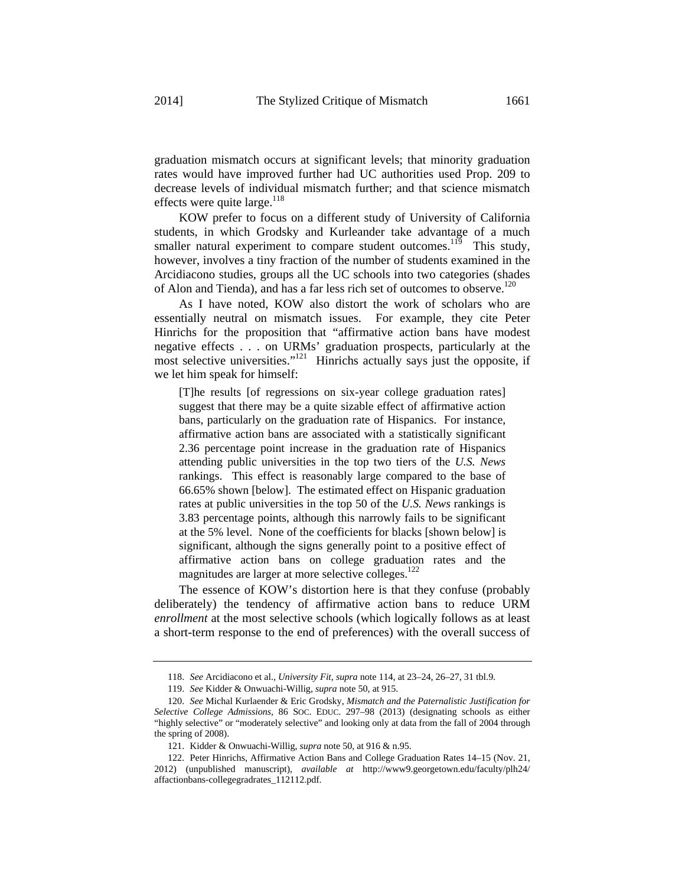graduation mismatch occurs at significant levels; that minority graduation rates would have improved further had UC authorities used Prop. 209 to decrease levels of individual mismatch further; and that science mismatch effects were quite large. $118$ 

KOW prefer to focus on a different study of University of California students, in which Grodsky and Kurleander take advantage of a much smaller natural experiment to compare student outcomes.<sup>119</sup> This study, however, involves a tiny fraction of the number of students examined in the Arcidiacono studies, groups all the UC schools into two categories (shades of Alon and Tienda), and has a far less rich set of outcomes to observe.<sup>120</sup>

As I have noted, KOW also distort the work of scholars who are essentially neutral on mismatch issues. For example, they cite Peter Hinrichs for the proposition that "affirmative action bans have modest negative effects . . . on URMs' graduation prospects, particularly at the most selective universities."<sup>121</sup> Hinrichs actually says just the opposite, if we let him speak for himself:

[T]he results [of regressions on six-year college graduation rates] suggest that there may be a quite sizable effect of affirmative action bans, particularly on the graduation rate of Hispanics. For instance, affirmative action bans are associated with a statistically significant 2.36 percentage point increase in the graduation rate of Hispanics attending public universities in the top two tiers of the *U.S. News* rankings. This effect is reasonably large compared to the base of 66.65% shown [below]. The estimated effect on Hispanic graduation rates at public universities in the top 50 of the *U.S. News* rankings is 3.83 percentage points, although this narrowly fails to be significant at the 5% level. None of the coefficients for blacks [shown below] is significant, although the signs generally point to a positive effect of affirmative action bans on college graduation rates and the magnitudes are larger at more selective colleges.<sup>122</sup>

The essence of KOW's distortion here is that they confuse (probably deliberately) the tendency of affirmative action bans to reduce URM *enrollment* at the most selective schools (which logically follows as at least a short-term response to the end of preferences) with the overall success of

<sup>118.</sup> *See* Arcidiacono et al., *University Fit*, *supra* note 114, at 23–24, 26–27, 31 tbl.9.

<sup>119.</sup> *See* Kidder & Onwuachi-Willig, *supra* note 50, at 915.

<sup>120.</sup> *See* Michal Kurlaender & Eric Grodsky, *Mismatch and the Paternalistic Justification for Selective College Admissions*, 86 SOC. EDUC. 297–98 (2013) (designating schools as either "highly selective" or "moderately selective" and looking only at data from the fall of 2004 through the spring of 2008).

<sup>121.</sup> Kidder & Onwuachi-Willig, *supra* note 50, at 916 & n.95.

<sup>122.</sup> Peter Hinrichs, Affirmative Action Bans and College Graduation Rates 14–15 (Nov. 21, 2012) (unpublished manuscript), *available at* http://www9.georgetown.edu/faculty/plh24/ affactionbans-collegegradrates\_112112.pdf.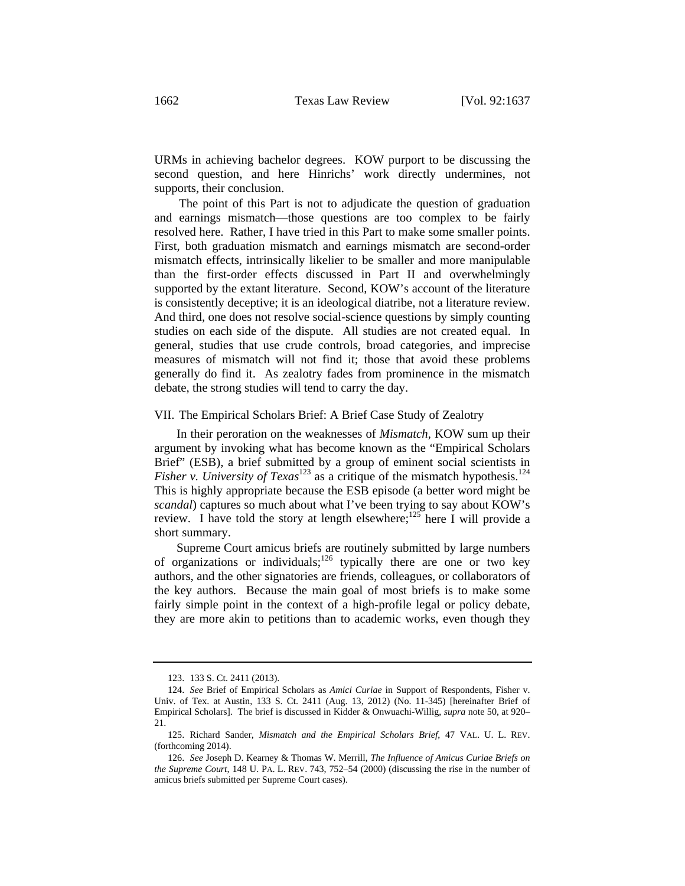URMs in achieving bachelor degrees. KOW purport to be discussing the second question, and here Hinrichs' work directly undermines, not supports, their conclusion.

The point of this Part is not to adjudicate the question of graduation and earnings mismatch—those questions are too complex to be fairly resolved here. Rather, I have tried in this Part to make some smaller points. First, both graduation mismatch and earnings mismatch are second-order mismatch effects, intrinsically likelier to be smaller and more manipulable than the first-order effects discussed in Part II and overwhelmingly supported by the extant literature. Second, KOW's account of the literature is consistently deceptive; it is an ideological diatribe, not a literature review. And third, one does not resolve social-science questions by simply counting studies on each side of the dispute. All studies are not created equal. In general, studies that use crude controls, broad categories, and imprecise measures of mismatch will not find it; those that avoid these problems generally do find it. As zealotry fades from prominence in the mismatch debate, the strong studies will tend to carry the day.

#### VII. The Empirical Scholars Brief: A Brief Case Study of Zealotry

 In their peroration on the weaknesses of *Mismatch*, KOW sum up their argument by invoking what has become known as the "Empirical Scholars Brief" (ESB), a brief submitted by a group of eminent social scientists in *Fisher v. University of Texas*<sup>123</sup> as a critique of the mismatch hypothesis.<sup>124</sup> This is highly appropriate because the ESB episode (a better word might be *scandal*) captures so much about what I've been trying to say about KOW's review. I have told the story at length elsewhere;<sup>125</sup> here I will provide a short summary.

 Supreme Court amicus briefs are routinely submitted by large numbers of organizations or individuals; $126$  typically there are one or two key authors, and the other signatories are friends, colleagues, or collaborators of the key authors. Because the main goal of most briefs is to make some fairly simple point in the context of a high-profile legal or policy debate, they are more akin to petitions than to academic works, even though they

<sup>123. 133</sup> S. Ct. 2411 (2013).

<sup>124.</sup> *See* Brief of Empirical Scholars as *Amici Curiae* in Support of Respondents, Fisher v. Univ. of Tex. at Austin, 133 S. Ct. 2411 (Aug. 13, 2012) (No. 11-345) [hereinafter Brief of Empirical Scholars]. The brief is discussed in Kidder & Onwuachi-Willig, *supra* note 50, at 920– 21.

<sup>125.</sup> Richard Sander, *Mismatch and the Empirical Scholars Brief*, 47 VAL. U. L. REV. (forthcoming 2014).

<sup>126.</sup> *See* Joseph D. Kearney & Thomas W. Merrill, *The Influence of Amicus Curiae Briefs on the Supreme Court*, 148 U. PA. L. REV. 743, 752–54 (2000) (discussing the rise in the number of amicus briefs submitted per Supreme Court cases).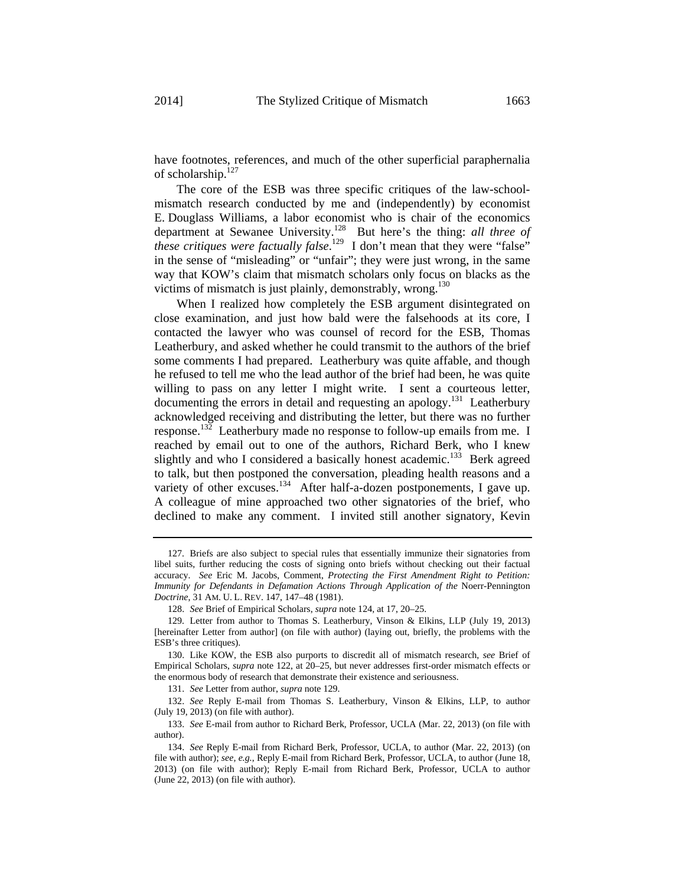have footnotes, references, and much of the other superficial paraphernalia of scholarship.<sup>127</sup>

 The core of the ESB was three specific critiques of the law-schoolmismatch research conducted by me and (independently) by economist E. Douglass Williams, a labor economist who is chair of the economics department at Sewanee University.128 But here's the thing: *all three of these critiques were factually false*.<sup>129</sup> I don't mean that they were "false" in the sense of "misleading" or "unfair"; they were just wrong, in the same way that KOW's claim that mismatch scholars only focus on blacks as the victims of mismatch is just plainly, demonstrably, wrong.<sup>130</sup>

When I realized how completely the ESB argument disintegrated on close examination, and just how bald were the falsehoods at its core, I contacted the lawyer who was counsel of record for the ESB, Thomas Leatherbury, and asked whether he could transmit to the authors of the brief some comments I had prepared. Leatherbury was quite affable, and though he refused to tell me who the lead author of the brief had been, he was quite willing to pass on any letter I might write. I sent a courteous letter, documenting the errors in detail and requesting an apology.131 Leatherbury acknowledged receiving and distributing the letter, but there was no further response.<sup>132</sup> Leatherbury made no response to follow-up emails from me. I reached by email out to one of the authors, Richard Berk, who I knew slightly and who I considered a basically honest academic.<sup>133</sup> Berk agreed to talk, but then postponed the conversation, pleading health reasons and a variety of other excuses.<sup>134</sup> After half-a-dozen postponements, I gave up. A colleague of mine approached two other signatories of the brief, who declined to make any comment. I invited still another signatory, Kevin

<sup>127.</sup> Briefs are also subject to special rules that essentially immunize their signatories from libel suits, further reducing the costs of signing onto briefs without checking out their factual accuracy. *See* Eric M. Jacobs, Comment, *Protecting the First Amendment Right to Petition: Immunity for Defendants in Defamation Actions Through Application of the* Noerr-Pennington *Doctrine*, 31 AM. U. L. REV. 147, 147–48 (1981).

<sup>128.</sup> *See* Brief of Empirical Scholars, *supra* note 124, at 17, 20–25.

<sup>129.</sup> Letter from author to Thomas S. Leatherbury, Vinson & Elkins, LLP (July 19, 2013) [hereinafter Letter from author] (on file with author) (laying out, briefly, the problems with the ESB's three critiques).

<sup>130.</sup> Like KOW, the ESB also purports to discredit all of mismatch research, *see* Brief of Empirical Scholars, *supra* note 122, at 20–25, but never addresses first-order mismatch effects or the enormous body of research that demonstrate their existence and seriousness.

<sup>131.</sup> *See* Letter from author, *supra* note 129.

<sup>132.</sup> *See* Reply E-mail from Thomas S. Leatherbury, Vinson & Elkins, LLP, to author (July 19, 2013) (on file with author).

<sup>133.</sup> *See* E-mail from author to Richard Berk, Professor, UCLA (Mar. 22, 2013) (on file with author).

<sup>134.</sup> *See* Reply E-mail from Richard Berk, Professor, UCLA, to author (Mar. 22, 2013) (on file with author); *see, e.g.*, Reply E-mail from Richard Berk, Professor, UCLA, to author (June 18, 2013) (on file with author); Reply E-mail from Richard Berk, Professor, UCLA to author (June 22, 2013) (on file with author).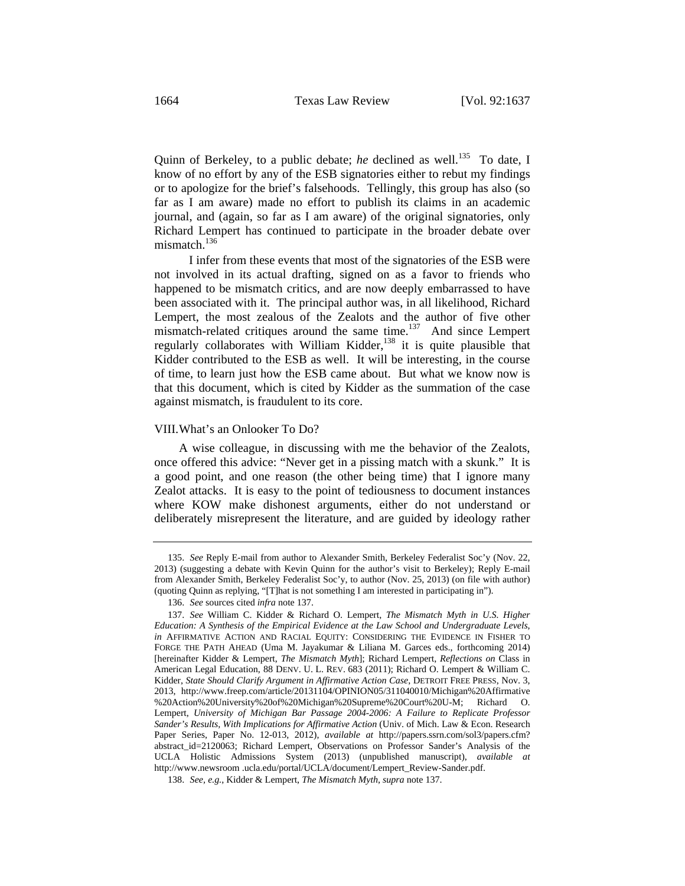Quinn of Berkeley, to a public debate; *he* declined as well.<sup>135</sup> To date, I know of no effort by any of the ESB signatories either to rebut my findings or to apologize for the brief's falsehoods. Tellingly, this group has also (so far as I am aware) made no effort to publish its claims in an academic journal, and (again, so far as I am aware) of the original signatories, only Richard Lempert has continued to participate in the broader debate over mismatch.<sup>136</sup>

 I infer from these events that most of the signatories of the ESB were not involved in its actual drafting, signed on as a favor to friends who happened to be mismatch critics, and are now deeply embarrassed to have been associated with it. The principal author was, in all likelihood, Richard Lempert, the most zealous of the Zealots and the author of five other mismatch-related critiques around the same time.<sup>137</sup> And since Lempert regularly collaborates with William Kidder,<sup>138</sup> it is quite plausible that Kidder contributed to the ESB as well. It will be interesting, in the course of time, to learn just how the ESB came about. But what we know now is that this document, which is cited by Kidder as the summation of the case against mismatch, is fraudulent to its core.

#### VIII. What's an Onlooker To Do?

A wise colleague, in discussing with me the behavior of the Zealots, once offered this advice: "Never get in a pissing match with a skunk." It is a good point, and one reason (the other being time) that I ignore many Zealot attacks. It is easy to the point of tediousness to document instances where KOW make dishonest arguments, either do not understand or deliberately misrepresent the literature, and are guided by ideology rather

<sup>135.</sup> *See* Reply E-mail from author to Alexander Smith, Berkeley Federalist Soc'y (Nov. 22, 2013) (suggesting a debate with Kevin Quinn for the author's visit to Berkeley); Reply E-mail from Alexander Smith, Berkeley Federalist Soc'y, to author (Nov. 25, 2013) (on file with author) (quoting Quinn as replying, "[T]hat is not something I am interested in participating in").

<sup>136.</sup> *See* sources cited *infra* note 137.

<sup>137.</sup> *See* William C. Kidder & Richard O. Lempert, *The Mismatch Myth in U.S. Higher Education: A Synthesis of the Empirical Evidence at the Law School and Undergraduate Levels*, *in* AFFIRMATIVE ACTION AND RACIAL EQUITY: CONSIDERING THE EVIDENCE IN FISHER TO FORGE THE PATH AHEAD (Uma M. Jayakumar & Liliana M. Garces eds., forthcoming 2014) [hereinafter Kidder & Lempert, *The Mismatch Myth*]; Richard Lempert, *Reflections on* Class in American Legal Education, 88 DENV. U. L. REV. 683 (2011); Richard O. Lempert & William C. Kidder, *State Should Clarify Argument in Affirmative Action Case*, DETROIT FREE PRESS, Nov. 3, 2013, http://www.freep.com/article/20131104/OPINION05/311040010/Michigan%20Affirmative %20Action%20University%20of%20Michigan%20Supreme%20Court%20U-M; Richard O. Lempert, *University of Michigan Bar Passage 2004-2006: A Failure to Replicate Professor Sander's Results, With Implications for Affirmative Action* (Univ. of Mich. Law & Econ. Research Paper Series, Paper No. 12-013, 2012), *available at* http://papers.ssrn.com/sol3/papers.cfm? abstract\_id=2120063; Richard Lempert, Observations on Professor Sander's Analysis of the UCLA Holistic Admissions System (2013) (unpublished manuscript), *available at*  http://www.newsroom .ucla.edu/portal/UCLA/document/Lempert\_Review-Sander.pdf.

<sup>138.</sup> *See, e.g.*, Kidder & Lempert, *The Mismatch Myth*, *supra* note 137.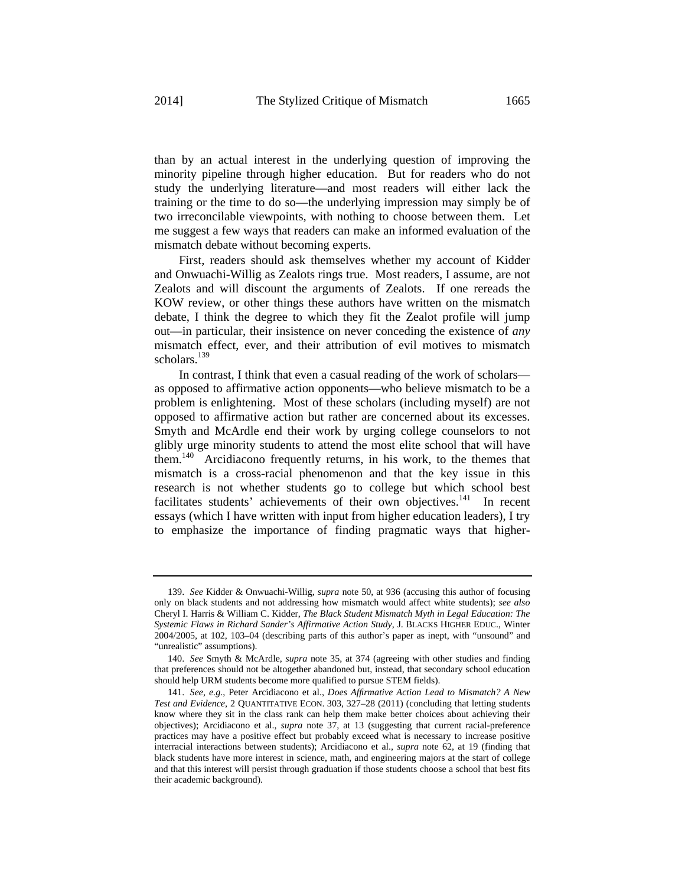than by an actual interest in the underlying question of improving the minority pipeline through higher education. But for readers who do not study the underlying literature—and most readers will either lack the training or the time to do so—the underlying impression may simply be of two irreconcilable viewpoints, with nothing to choose between them. Let me suggest a few ways that readers can make an informed evaluation of the mismatch debate without becoming experts.

First, readers should ask themselves whether my account of Kidder and Onwuachi-Willig as Zealots rings true. Most readers, I assume, are not Zealots and will discount the arguments of Zealots. If one rereads the KOW review, or other things these authors have written on the mismatch debate, I think the degree to which they fit the Zealot profile will jump out—in particular, their insistence on never conceding the existence of *any* mismatch effect, ever, and their attribution of evil motives to mismatch scholars. $139$ 

In contrast, I think that even a casual reading of the work of scholars as opposed to affirmative action opponents—who believe mismatch to be a problem is enlightening. Most of these scholars (including myself) are not opposed to affirmative action but rather are concerned about its excesses. Smyth and McArdle end their work by urging college counselors to not glibly urge minority students to attend the most elite school that will have them.<sup>140</sup> Arcidiacono frequently returns, in his work, to the themes that mismatch is a cross-racial phenomenon and that the key issue in this research is not whether students go to college but which school best facilitates students' achievements of their own objectives.<sup>141</sup> In recent essays (which I have written with input from higher education leaders), I try to emphasize the importance of finding pragmatic ways that higher-

<sup>139.</sup> *See* Kidder & Onwuachi-Willig, *supra* note 50, at 936 (accusing this author of focusing only on black students and not addressing how mismatch would affect white students); *see also* Cheryl I. Harris & William C. Kidder, *The Black Student Mismatch Myth in Legal Education: The Systemic Flaws in Richard Sander's Affirmative Action Study*, J. BLACKS HIGHER EDUC., Winter 2004/2005, at 102, 103–04 (describing parts of this author's paper as inept, with "unsound" and "unrealistic" assumptions).

<sup>140.</sup> *See* Smyth & McArdle, *supra* note 35, at 374 (agreeing with other studies and finding that preferences should not be altogether abandoned but, instead, that secondary school education should help URM students become more qualified to pursue STEM fields).

<sup>141.</sup> *See, e.g.*, Peter Arcidiacono et al., *Does Affirmative Action Lead to Mismatch? A New Test and Evidence*, 2 QUANTITATIVE ECON. 303, 327–28 (2011) (concluding that letting students know where they sit in the class rank can help them make better choices about achieving their objectives); Arcidiacono et al., *supra* note 37, at 13 (suggesting that current racial-preference practices may have a positive effect but probably exceed what is necessary to increase positive interracial interactions between students); Arcidiacono et al., *supra* note 62, at 19 (finding that black students have more interest in science, math, and engineering majors at the start of college and that this interest will persist through graduation if those students choose a school that best fits their academic background).